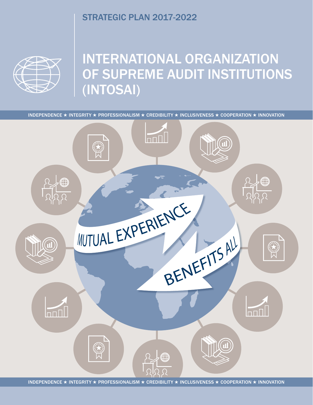# STRATEGIC PLAN 2017-2022



# INTERNATIONAL ORGANIZATION OF SUPREME AUDIT INSTITUTIONS (INTOSAI)

INDEPENDENCE ★ INTEGRITY ★ PROFESSIONALISM ★ CREDIBILITY ★ INCLUSIVENESS ★ COOPERATION ★ INNOVATION



INDEPENDENCE ★ INTEGRITY ★ PROFESSIONALISM ★ CREDIBILITY ★ INCLUSIVENESS ★ COOPERATION ★ INNOVATION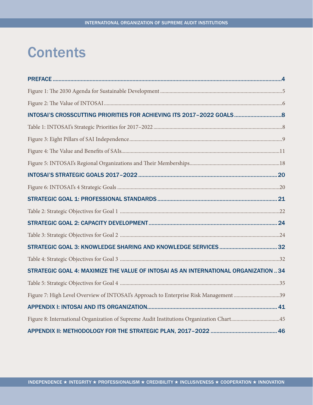# **Contents**

| STRATEGIC GOAL 4: MAXIMIZE THE VALUE OF INTOSAI AS AN INTERNATIONAL ORGANIZATION  34    |  |
|-----------------------------------------------------------------------------------------|--|
|                                                                                         |  |
| Figure 7: High Level Overview of INTOSAI's Approach to Enterprise Risk Management 39    |  |
|                                                                                         |  |
| Figure 8: International Organization of Supreme Audit Institutions Organization Chart45 |  |
|                                                                                         |  |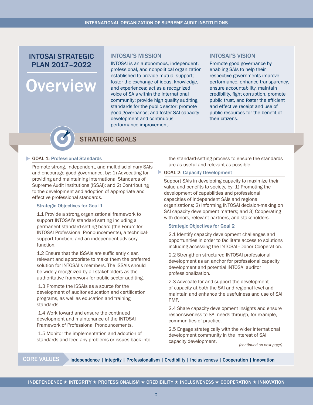# INTOSAI STRATEGIC INTOSAI'S MISSION INTOSAI'S VISION PLAN 2017–2022

# **Overview**

#### INTOSAI'S MISSION

INTOSAI is an autonomous, independent, professional, and nonpolitical organization established to provide mutual support; foster the exchange of ideas, knowledge, and experiences; act as a recognized voice of SAIs within the international community; provide high quality auditing standards for the public sector; promote good governance; and foster SAI capacity development and continuous performance improvement.

Promote good governance by enabling SAIs to help their respective governments improve performance, enhance transparency, ensure accountability, maintain credibility, fight corruption, promote public trust, and foster the efficient and effective receipt and use of public resources for the benefit of their citizens.



# STRATEGIC GOALS

#### GOAL 1: Professional Standards

Promote strong, independent, and multidisciplinary SAIs and encourage good governance, by: 1) Advocating for, providing and maintaining International Standards of Supreme Audit Institutions (ISSAI); and 2) Contributing to the development and adoption of appropriate and effective professional standards.

#### Strategic Objectives for Goal 1

1.1 Provide a strong organizational framework to support INTOSAI's standard setting including a permanent standard-setting board (the Forum for INTOSAI Professional Pronouncements), a technicalsupport function, and an independent advisory function.

1.2 Ensure that the ISSAIs are sufficiently clear, relevant and appropriate to make them the preferred solution for INTOSAI's members. The ISSAIs should be widely recognized by all stakeholders as the authoritative framework for public sector auditing.

 1.3 Promote the ISSAIs as a source for the development of auditor education and certification programs, as well as education and training standards.

 1.4 Work toward and ensure the continued development and maintenance of the INTOSAI Framework of Professional Pronouncements.

 1.5 Monitor the implementation and adoption of standards and feed any problems or issues back into the standard-setting process to ensure the standards are as useful and relevant as possible.

#### GOAL 2: Capacity Development

Support SAIs in developing capacity to maximize their value and benefits to society, by: 1) Promoting the development of capabilities and professional capacities of independent SAIs and regional organizations; 2) Informing INTOSAI decision-making on SAI capacity development matters; and 3) Cooperating with donors, relevant partners, and stakeholders.

#### Strategic Objectives for Goal 2

2.1 Identify capacity development challenges and opportunities in order to facilitate access to solutions including accessing the INTOSAI–Donor Cooperation.

2.2 Strengthen structured INTOSAI professional development as an anchor for professional capacity development and potential INTOSAI auditor professionalization.

2.3 Advocate for and support the development of capacity at both the SAI and regional level and maintain and enhance the usefulness and use of SAI PMF.

2.4 Share capacity development insights and ensure responsiveness to SAI needs through, for example, communities of practice.

2.5 Engage strategically with the wider international development community in the interest of SAI capacity development.

*(continued on next page)*

CORE VALUES Independence | Integrity | Professionalism | Credibility | Inclusiveness | Cooperation | Innovation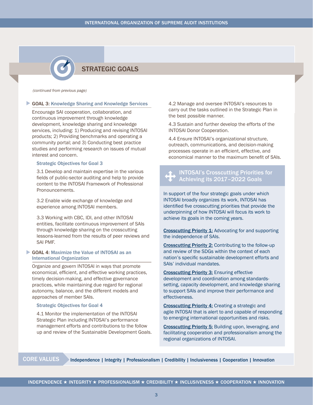# STRATEGIC GOALS

*(continued from previous page)*

#### GOAL 3: Knowledge Sharing and Knowledge Services

Encourage SAI cooperation, collaboration, and continuous improvement through knowledge development, knowledge sharing and knowledge services, including: 1) Producing and revising INTOSAI products; 2) Providing benchmarks and operating a community portal; and 3) Conducting best practice studies and performing research on issues of mutual interest and concern.

#### Strategic Objectives for Goal 3

3.1 Develop and maintain expertise in the various fields of public-sector auditing and help to provide content to the INTOSAI Framework of Professional Pronouncements.

3.2 Enable wide exchange of knowledge and experience among INTOSAI members.

3.3 Working with CBC, IDI, and other INTOSAI entities, facilitate continuous improvement of SAIs through knowledge sharing on the crosscutting lessons-learned from the results of peer reviews and SAI PMF.

#### GOAL 4: Maximize the Value of INTOSAI as an International Organization

Organize and govern INTOSAI in ways that promote economical, efficient, and effective working practices, timely decision-making, and effective governance practices, while maintaining due regard for regional autonomy, balance, and the different models and approaches of member SAIs.

#### Strategic Objectives for Goal 4

4.1 Monitor the implementation of the INTOSAI Strategic Plan including INTOSAI's performance management efforts and contributions to the follow up and review of the Sustainable Development Goals.

4.2 Manage and oversee INTOSAI's resources to carry out the tasks outlined in the Strategic Plan in the best possible manner.

4.3 Sustain and further develop the efforts of the INTOSAI Donor Cooperation.

4.4 Ensure INTOSAI's organizational structure, outreach, communications, and decision-making processes operate in an efficient, effective, and economical manner to the maximum benefit of SAIs.

# **1** INTOSAI's Crosscutting Priorities for  $\mathbf{W}$  Achieving its 2017-2022 Goals

In support of the four strategic goals under which INTOSAI broadly organizes its work, INTOSAI has identified five crosscutting priorities that provide the underpinning of how INTOSAI will focus its work to achieve its goals in the coming years.

Crosscutting Priority 1: Advocating for and supporting the independence of SAIs.

Crosscutting Priority 2: Contributing to the follow-up and review of the SDGs within the context of each nation's specific sustainable development efforts and SAIs' individual mandates.

**Crosscutting Priority 3: Ensuring effective** development and coordination among standardssetting, capacity development, and knowledge sharing to support SAIs and improve their performance and effectiveness.

Crosscutting Priority 4: Creating a strategic and agile INTOSAI that is alert to and capable of responding to emerging international opportunities and risks.

Crosscutting Priority 5: Building upon, leveraging, and facilitating cooperation and professionalism among the regional organizations of INTOSAI.

CORE VALUES Independence | Integrity | Professionalism | Credibility | Inclusiveness | Cooperation | Innovation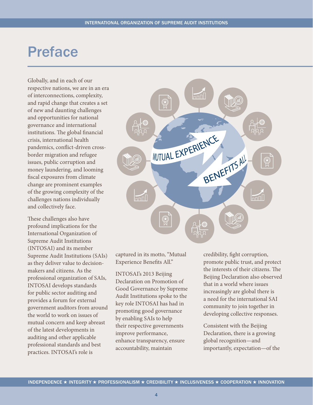# <span id="page-4-0"></span>Preface

Globally, and in each of our respective nations, we are in an era of interconnections, complexity, and rapid change that creates a set of new and daunting challenges and opportunities for national governance and international institutions. The global financial crisis, international health pandemics, conflict-driven crossborder migration and refugee issues, public corruption and money laundering, and looming fiscal exposures from climate change are prominent examples of the growing complexity of the challenges nations individually and collectively face.

These challenges also have profound implications for the International Organization of Supreme Audit Institutions (INTOSAI) and its member Supreme Audit Institutions (SAIs) as they deliver value to decisionmakers and citizens. As the professional organization of SAIs, INTOSAI develops standards for public sector auditing and provides a forum for external government auditors from around the world to work on issues of mutual concern and keep abreast of the latest developments in auditing and other applicable professional standards and best practices. INTOSAI's role is



captured in its motto, "Mutual Experience Benefits All."

INTOSAI's 2013 Beijing Declaration on Promotion of Good Governance by Supreme Audit Institutions spoke to the key role INTOSAI has had in promoting good governance by enabling SAIs to help their respective governments improve performance, enhance transparency, ensure accountability, maintain

credibility, fight corruption, promote public trust, and protect the interests of their citizens. The Beijing Declaration also observed that in a world where issues increasingly are global there is a need for the international SAI community to join together in developing collective responses.

Consistent with the Beijing Declaration, there is a growing global recognition—and importantly, expectation—of the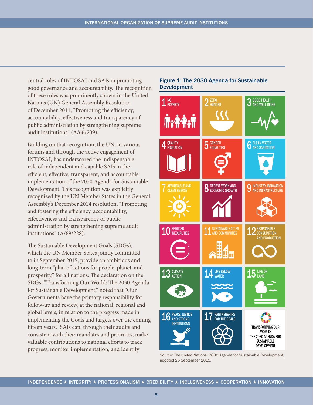<span id="page-5-0"></span>central roles of INTOSAI and SAIs in promoting good governance and accountability. The recognition of these roles was prominently shown in the United Nations (UN) General Assembly Resolution of December 2011, "Promoting the efficiency, accountability, effectiveness and transparency of public administration by strengthening supreme audit institutions" (A/66/209).

Building on that recognition, the UN, in various forums and through the active engagement of INTOSAI, has underscored the indispensable role of independent and capable SAIs in the efficient, effective, transparent, and accountable implementation of the 2030 Agenda for Sustainable Development. This recognition was explicitly recognized by the UN Member States in the General Assembly's December 2014 resolution, "Promoting and fostering the efficiency, accountability, effectiveness and transparency of public administration by strengthening supreme audit institutions" (A/69/228).

The Sustainable Development Goals (SDGs), which the UN Member States jointly committed to in September 2015, provide an ambitious and long-term "plan of actions for people, planet, and prosperity," for all nations. The declaration on the SDGs, "Transforming Our World: The 2030 Agenda for Sustainable Development," noted that "Our Governments have the primary responsibility for follow-up and review, at the national, regional and global levels, in relation to the progress made in implementing the Goals and targets over the coming fifteen years." SAIs can, through their audits and consistent with their mandates and priorities, make valuable contributions to national efforts to track progress, monitor implementation, and identify

### Figure 1: The 2030 Agenda for Sustainable Development



Source: The United Nations. 2030 Agenda for Sustainable Development, adopted 25 September 2015.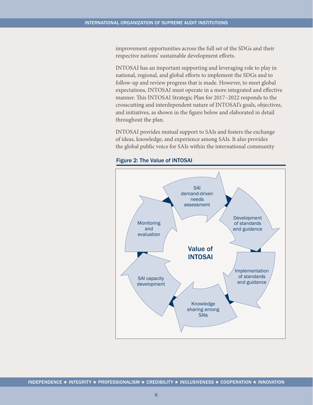<span id="page-6-0"></span>improvement opportunities across the full set of the SDGs and their respective nations' sustainable development efforts.

INTOSAI has an important supporting and leveraging role to play in national, regional, and global efforts to implement the SDGs and to follow-up and review progress that is made. However, to meet global expectations, INTOSAI must operate in a more integrated and effective manner. This INTOSAI Strategic Plan for 2017–2022 responds to the crosscutting and interdependent nature of INTOSAI's goals, objectives, and initiatives, as shown in the figure below and elaborated in detail throughout the plan.

INTOSAI provides mutual support to SAIs and fosters the exchange of ideas, knowledge, and experience among SAIs. It also provides the global public voice for SAIs within the international community



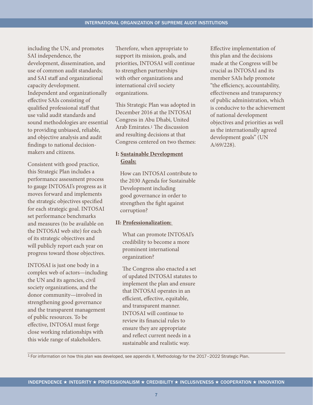including the UN, and promotes SAI independence, the development, dissemination, and use of common audit standards; and SAI staff and organizational capacity development. Independent and organizationally effective SAIs consisting of qualified professional staff that use valid audit standards and sound methodologies are essential to providing unbiased, reliable, and objective analysis and audit findings to national decisionmakers and citizens.

Consistent with good practice, this Strategic Plan includes a performance assessment process to gauge INTOSAI's progress as it moves forward and implements the strategic objectives specified for each strategic goal. INTOSAI set performance benchmarks and measures (to be available on the INTOSAI web site) for each of its strategic objectives and will publicly report each year on progress toward those objectives.

INTOSAI is just one body in a complex web of actors—including the UN and its agencies, civil society organizations, and the donor community—involved in strengthening good governance and the transparent management of public resources. To be effective, INTOSAI must forge close working relationships with this wide range of stakeholders.

Therefore, when appropriate to support its mission, goals, and priorities, INTOSAI will continue to strengthen partnerships with other organizations and international civil society organizations.

This Strategic Plan was adopted in December 2016 at the INTOSAI Congress in Abu Dhabi, United Arab Emirates.1 The discussion and resulting decisions at that Congress centered on two themes:

# **I: Sustainable Development Goals:**

How can INTOSAI contribute to the 2030 Agenda for Sustainable Development including good governance in order to strengthen the fight against corruption?

### **II: Professionalization:**

What can promote INTOSAI's credibility to become a more prominent international organization?

The Congress also enacted a set of updated INTOSAI statutes to implement the plan and ensure that INTOSAI operates in an efficient, effective, equitable, and transparent manner. INTOSAI will continue to review its financial rules to ensure they are appropriate and reflect current needs in a sustainable and realistic way.

Effective implementation of this plan and the decisions made at the Congress will be crucial as INTOSAI and its member SAIs help promote "the efficiency, accountability, effectiveness and transparency of public administration, which is conducive to the achievement of national development objectives and priorities as well as the internationally agreed development goals" (UN A/69/228).

1 For information on how this plan was developed, see appendix II, Methodology for the 2017–2022 Strategic Plan.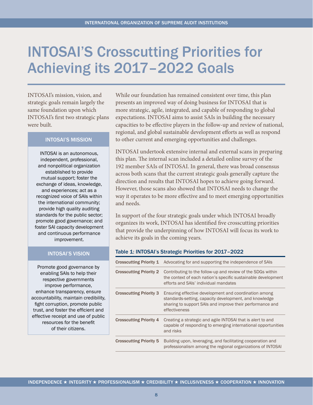# <span id="page-8-0"></span>INTOSAI'S Crosscutting Priorities for Achieving its 2017–2022 Goals

INTOSAI's mission, vision, and strategic goals remain largely the same foundation upon which INTOSAI's first two strategic plans were built.

### INTOSAI'S MISSION

INTOSAI is an autonomous, independent, professional, and nonpolitical organization established to provide mutual support; foster the exchange of ideas, knowledge, and experiences; act as a recognized voice of SAIs within the international community; provide high quality auditing standards for the public sector; promote good governance; and foster SAI capacity development and continuous performance improvement.

#### INTOSAI'S VISION

Promote good governance by enabling SAIs to help their respective governments improve performance, enhance transparency, ensure accountability, maintain credibility, fight corruption, promote public trust, and foster the efficient and effective receipt and use of public resources for the benefit of their citizens.

While our foundation has remained consistent over time, this plan presents an improved way of doing business for INTOSAI that is more strategic, agile, integrated, and capable of responding to global expectations. INTOSAI aims to assist SAIs in building the necessary capacities to be effective players in the follow-up and review of national, regional, and global sustainable development efforts as well as respond to other current and emerging opportunities and challenges.

INTOSAI undertook extensive internal and external scans in preparing this plan. The internal scan included a detailed online survey of the 192 member SAIs of INTOSAI. In general, there was broad consensus across both scans that the current strategic goals generally capture the direction and results that INTOSAI hopes to achieve going forward. However, those scans also showed that INTOSAI needs to change the way it operates to be more effective and to meet emerging opportunities and needs.

In support of the four strategic goals under which INTOSAI broadly organizes its work, INTOSAI has identified five crosscutting priorities that provide the underpinning of how INTOSAI will focus its work to achieve its goals in the coming years.

#### Table 1: INTOSAI's Strategic Priorities for 2017–2022

| <b>Crosscutting Priority 1</b> | Advocating for and supporting the independence of SAIs                                                                                                                                        |
|--------------------------------|-----------------------------------------------------------------------------------------------------------------------------------------------------------------------------------------------|
| <b>Crosscutting Priority 2</b> | Contributing to the follow-up and review of the SDGs within<br>the context of each nation's specific sustainable development<br>efforts and SAIs' individual mandates                         |
| <b>Crosscutting Priority 3</b> | Ensuring effective development and coordination among<br>standards-setting, capacity development, and knowledge<br>sharing to support SAIs and improve their performance and<br>effectiveness |
| <b>Crosscutting Priority 4</b> | Creating a strategic and agile INTOSAI that is alert to and<br>capable of responding to emerging international opportunities<br>and risks                                                     |
| <b>Crosscutting Priority 5</b> | Building upon, leveraging, and facilitating cooperation and<br>professionalism among the regional organizations of INTOSAI                                                                    |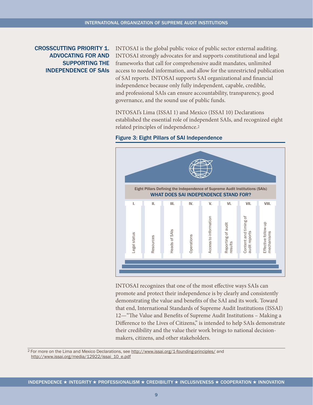# <span id="page-9-0"></span>CROSSCUTTING PRIORITY 1. ADVOCATING FOR AND SUPPORTING THE INDEPENDENCE OF SAIs

INTOSAI is the global public voice of public sector external auditing. INTOSAI strongly advocates for and supports constitutional and legal frameworks that call for comprehensive audit mandates, unlimited access to needed information, and allow for the unrestricted publication of SAI reports. INTOSAI supports SAI organizational and financial independence because only fully independent, capable, credible, and professional SAIs can ensure accountability, transparency, good governance, and the sound use of public funds.

INTOSAI's Lima (ISSAI 1) and Mexico (ISSAI 10) Declarations established the essential role of independent SAIs, and recognized eight related principles of independence.2





INTOSAI recognizes that one of the most effective ways SAIs can promote and protect their independence is by clearly and consistently demonstrating the value and benefits of the SAI and its work. Toward that end, International Standards of Supreme Audit Institutions (ISSAI) 12—"The Value and Benefits of Supreme Audit Institutions – Making a Difference to the Lives of Citizens," is intended to help SAIs demonstrate their credibility and the value their work brings to national decisionmakers, citizens, and other stakeholders.

2 For more on the Lima and Mexico Declarations, see <http://www.issai.org/1-founding-principles/>and http://www.issai.org/media/12922/issai\_10\_e.pdf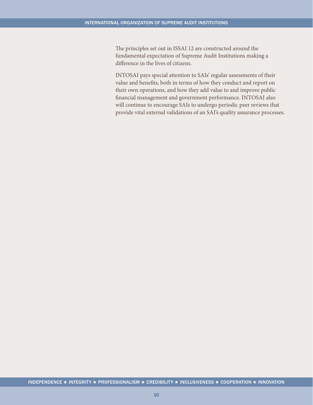The principles set out in ISSAI 12 are constructed around the fundamental expectation of Supreme Audit Institutions making a difference in the lives of citizens.

INTOSAI pays special attention to SAIs' regular assessments of their value and benefits, both in terms of how they conduct and report on their own operations, and how they add value to and improve public financial management and government performance. INTOSAI also will continue to encourage SAIs to undergo periodic peer reviews that provide vital external validations of an SAI's quality assurance processes.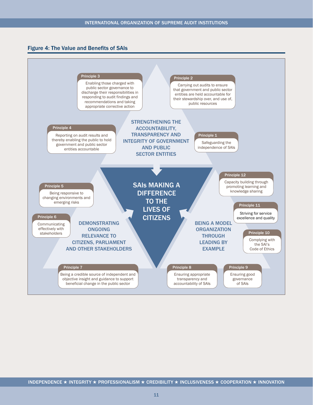<span id="page-11-0"></span>

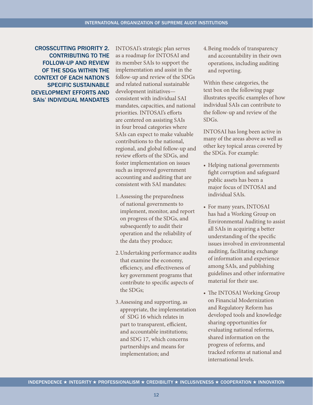CROSSCUTTING PRIORITY 2. CONTRIBUTING TO THE FOLLOW-UP AND REVIEW OF THE SDGs WITHIN THE CONTEXT OF EACH NATION'S SPECIFIC SUSTAINABLE DEVELOPMENT EFFORTS AND SAIs' INDIVIDUAL MANDATES

INTOSAI's strategic plan serves as a roadmap for INTOSAI and its member SAIs to support the implementation and assist in the follow-up and review of the SDGs and related national sustainable development initiatives consistent with individual SAI mandates, capacities, and national priorities. INTOSAI's efforts are centered on assisting SAIs in four broad categories where SAIs can expect to make valuable contributions to the national, regional, and global follow-up and review efforts of the SDGs, and foster implementation on issues such as improved government accounting and auditing that are consistent with SAI mandates:

- 1.Assessing the preparedness of national governments to implement, monitor, and report on progress of the SDGs, and subsequently to audit their operation and the reliability of the data they produce;
- 2.Undertaking performance audits that examine the economy, efficiency, and effectiveness of key government programs that contribute to specific aspects of the SDGs;
- 3.Assessing and supporting, as appropriate, the implementation of SDG 16 which relates in part to transparent, efficient, and accountable institutions; and SDG 17, which concerns partnerships and means for implementation; and

4.Being models of transparency and accountability in their own operations, including auditing and reporting.

Within these categories, the text box on the following page illustrates specific examples of how individual SAIs can contribute to the follow-up and review of the SDGs.

INTOSAI has long been active in many of the areas above as well as other key topical areas covered by the SDGs. For example:

- Helping national governments fight corruption and safeguard public assets has been a major focus of INTOSAI and individual SAIs.
- For many years, INTOSAI has had a Working Group on Environmental Auditing to assist all SAIs in acquiring a better understanding of the specific issues involved in environmental auditing, facilitating exchange of information and experience among SAIs, and publishing guidelines and other informative material for their use.
- The INTOSAI Working Group on Financial Modernization and Regulatory Reform has developed tools and knowledge sharing opportunities for evaluating national reforms, shared information on the progress of reforms, and tracked reforms at national and international levels.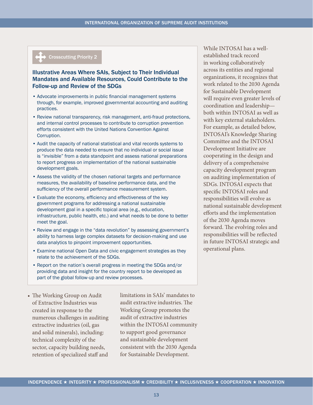# Crosscutting Priority 2

#### Illustrative Areas Where SAIs, Subject to Their Individual Mandates and Available Resources, Could Contribute to the Follow-up and Review of the SDGs

- Advocate improvements in public financial management systems through, for example, improved governmental accounting and auditing practices.
- Review national transparency, risk management, anti-fraud protections, and internal control processes to contribute to corruption prevention efforts consistent with the United Nations Convention Against Corruption.
- Audit the capacity of national statistical and vital records systems to produce the data needed to ensure that no individual or social issue is "invisible" from a data standpoint and assess national preparations to report progress on implementation of the national sustainable development goals.
- Assess the validity of the chosen national targets and performance measures, the availability of baseline performance data, and the sufficiency of the overall performance measurement system.
- Evaluate the economy, efficiency and effectiveness of the key government programs for addressing a national sustainable development goal in a specific topical area (e.g., education, infrastructure, public health, etc.) and what needs to be done to better meet the goal.
- Review and engage in the "data revolution" by assessing government's ability to harness large complex datasets for decision-making and use data analytics to pinpoint improvement opportunities.
- Examine national Open Data and civic engagement strategies as they relate to the achievement of the SDGs.
- Report on the nation's overall progress in meeting the SDGs and/or providing data and insight for the country report to be developed as part of the global follow-up and review processes.
- The Working Group on Audit of Extractive Industries was created in response to the numerous challenges in auditing extractive industries (oil, gas and solid minerals), including: technical complexity of the sector, capacity building needs, retention of specialized staff and

limitations in SAIs' mandates to audit extractive industries. The Working Group promotes the audit of extractive industries within the INTOSAI community to support good governance and sustainable development consistent with the 2030 Agenda for Sustainable Development.

While INTOSAI has a wellestablished track record in working collaboratively across its entities and regional organizations, it recognizes that work related to the 2030 Agenda for Sustainable Development will require even greater levels of coordination and leadership both within INTOSAI as well as with key external stakeholders. For example, as detailed below, INTOSAI's Knowledge Sharing Committee and the INTOSAI Development Initiative are cooperating in the design and delivery of a comprehensive capacity development program on auditing implementation of SDGs. INTOSAI expects that specific INTOSAI roles and responsibilities will evolve as national sustainable development efforts and the implementation of the 2030 Agenda moves forward. The evolving roles and responsibilities will be reflected in future INTOSAI strategic and operational plans.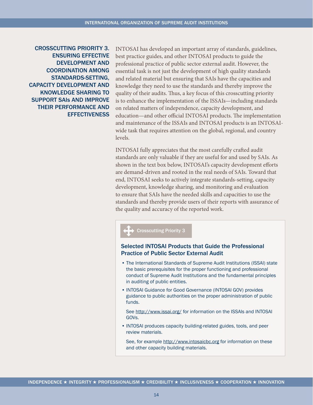CROSSCUTTING PRIORITY 3. ENSURING EFFECTIVE DEVELOPMENT AND COORDINATION AMONG STANDARDS-SETTING, CAPACITY DEVELOPMENT AND KNOWLEDGE SHARING TO SUPPORT SAIs AND IMPROVE THEIR PERFORMANCE AND **EFFECTIVENESS**  INTOSAI has developed an important array of standards, guidelines, best practice guides, and other INTOSAI products to guide the professional practice of public sector external audit. However, the essential task is not just the development of high quality standards and related material but ensuring that SAIs have the capacities and knowledge they need to use the standards and thereby improve the quality of their audits. Thus, a key focus of this crosscutting priority is to enhance the implementation of the ISSAIs—including standards on related matters of independence, capacity development, and education—and other official INTOSAI products. The implementation and maintenance of the ISSAIs and INTOSAI products is an INTOSAIwide task that requires attention on the global, regional, and country levels.

INTOSAI fully appreciates that the most carefully crafted audit standards are only valuable if they are useful for and used by SAIs. As shown in the text box below, INTOSAI's capacity development efforts are demand-driven and rooted in the real needs of SAIs. Toward that end, INTOSAI seeks to actively integrate standards-setting, capacity development, knowledge sharing, and monitoring and evaluation to ensure that SAIs have the needed skills and capacities to use the standards and thereby provide users of their reports with assurance of the quality and accuracy of the reported work.

#### Crosscutting Priority 3

### Selected INTOSAI Products that Guide the Professional Practice of Public Sector External Audit

- The International Standards of Supreme Audit Institutions (ISSAI) state the basic prerequisites for the proper functioning and professional conduct of Supreme Audit Institutions and the fundamental principles in auditing of public entities.
- INTOSAI Guidance for Good Governance (INTOSAI GOV) provides guidance to public authorities on the proper administration of public funds.

See<http://www.issai.org/> for information on the ISSAIs and INTOSAI GOVs.

• INTOSAI produces capacity building-related guides, tools, and peer review materials.

See, for example <http://www.intosaicbc.org>for information on these and other capacity building materials.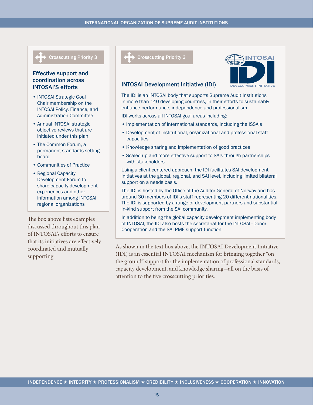### Effective support and coordination across INTOSAI'S efforts

- INTOSAI Strategic Goal Chair membership on the INTOSAI Policy, Finance, and Administration Committee
- Annual INTOSAI strategic objective reviews that are initiated under this plan
- The Common Forum, a permanent standards-setting board
- Communities of Practice
- Regional Capacity Development Forum to share capacity development experiences and other information among INTOSAI regional organizations

The box above lists examples discussed throughout this plan of INTOSAI's efforts to ensure that its initiatives are effectively coordinated and mutually supporting.





### INTOSAI Development Initiative (IDI)

The IDI is an INTOSAI body that supports Supreme Audit Institutions in more than 140 developing countries, in their efforts to sustainably enhance performance, independence and professionalism.

IDI works across all INTOSAI goal areas including:

- Implementation of international standards, including the ISSAIs
- Development of institutional, organizational and professional staff capacities
- Knowledge sharing and implementation of good practices
- Scaled up and more effective support to SAIs through partnerships with stakeholders

Using a client-centered approach, the IDI facilitates SAI development initiatives at the global, regional, and SAI level, including limited bilateral support on a needs basis.

The IDI is hosted by the Office of the Auditor General of Norway and has around 30 members of IDI's staff representing 20 different nationalities. The IDI is supported by a range of development partners and substantial in-kind support from the SAI community.

In addition to being the global capacity development implementing body of INTOSAI, the IDI also hosts the secretariat for the INTOSAI–Donor Cooperation and the SAI PMF support function.

As shown in the text box above, the INTOSAI Development Initiative (IDI) is an essential INTOSAI mechanism for bringing together "on the ground" support for the implementation of professional standards, capacity development, and knowledge sharing-all on the basis of attention to the five crosscutting priorities.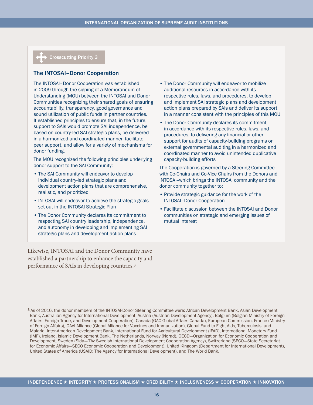### Crosscutting Priority 3

#### The INTOSAI–Donor Cooperation

The INTOSAI–Donor Cooperation was established in 2009 through the signing of a Memorandum of Understanding (MOU) between the INTOSAI and Donor Communities recognizing their shared goals of ensuring accountability, transparency, good governance and sound utilization of public funds in partner countries. It established principles to ensure that, in the future, support to SAIs would promote SAI independence, be based on country-led SAI strategic plans, be delivered in a harmonized and coordinated manner, facilitate peer support, and allow for a variety of mechanisms for donor funding.

The MOU recognized the following principles underlying donor support to the SAI Community:

- The SAI Community will endeavor to develop individual country-led strategic plans and development action plans that are comprehensive, realistic, and prioritized
- INTOSAI will endeavor to achieve the strategic goals set out in the INTOSAI Strategic Plan
- The Donor Community declares its commitment to respecting SAI country leadership, independence, and autonomy in developing and implementing SAI strategic plans and development action plans

Likewise, INTOSAI and the Donor Community have established a partnership to enhance the capacity and performance of SAIs in developing countries.3

- The Donor Community will endeavor to mobilize additional resources in accordance with its respective rules, laws, and procedures, to develop and implement SAI strategic plans and development action plans prepared by SAIs and deliver its support in a manner consistent with the principles of this MOU
- The Donor Community declares its commitment in accordance with its respective rules, laws, and procedures, to delivering any financial or other support for audits of capacity-building programs on external governmental auditing in a harmonized and coordinated manner to avoid unintended duplicative capacity-building efforts

The Cooperation is governed by a Steering Committee with Co-Chairs and Co-Vice Chairs from the Donors and INTOSAI--which brings the INTOSAI community and the donor community together to:

- Provide strategic guidance for the work of the INTOSAI–Donor Cooperation
- Facilitate discussion between the INTOSAI and Donor communities on strategic and emerging issues of mutual interest

<sup>3</sup> As of 2016, the donor members of the INTOSAI-Donor Steering Committee were: African Development Bank, Asian Development Bank, Australian Agency for International Development, Austria (Austrian Development Agency), Belgium (Belgian Ministry of Foreign Affairs, Foreign Trade, and Development Cooperation), Canada (GAC-Global Affairs Canada), European Commission, France (Ministry of Foreign Affairs), GAVI Alliance (Global Alliance for Vaccines and Immunization), Global Fund to Fight Aids, Tuberculosis, and Malaria, Inter-American Development Bank, International Fund for Agricultural Development (IFAD), International Monetary Fund (IMF), Ireland, Islamic Development Bank, The Netherlands, Norway (Norad), OECD-Organization for Economic Cooperation and Development, Sweden (Sida-The Swedish International Development Cooperation Agency), Switzerland (SECO-State Secretariat for Economic Affairs-SECO Economic Cooperation and Development), United Kingdom (Department for International Development), United States of America (USAID: The Agency for International Development), and The World Bank.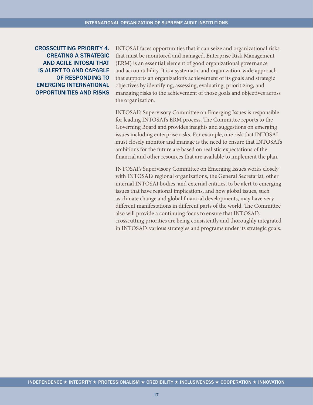CROSSCUTTING PRIORITY 4. CREATING A STRATEGIC AND AGILE INTOSAI THAT IS ALERT TO AND CAPABLE OF RESPONDING TO EMERGING INTERNATIONAL OPPORTUNITIES AND RISKS

INTOSAI faces opportunities that it can seize and organizational risks that must be monitored and managed. Enterprise Risk Management (ERM) is an essential element of good organizational governance and accountability. It is a systematic and organization-wide approach that supports an organization's achievement of its goals and strategic objectives by identifying, assessing, evaluating, prioritizing, and managing risks to the achievement of those goals and objectives across the organization.

INTOSAI's Supervisory Committee on Emerging Issues is responsible for leading INTOSAI's ERM process. The Committee reports to the Governing Board and provides insights and suggestions on emerging issues including enterprise risks. For example, one risk that INTOSAI must closely monitor and manage is the need to ensure that INTOSAI's ambitions for the future are based on realistic expectations of the financial and other resources that are available to implement the plan.

INTOSAI's Supervisory Committee on Emerging Issues works closely with INTOSAI's regional organizations, the General Secretariat, other internal INTOSAI bodies, and external entities, to be alert to emerging issues that have regional implications, and how global issues, such as climate change and global financial developments, may have very different manifestations in different parts of the world. The Committee also will provide a continuing focus to ensure that INTOSAI's crosscutting priorities are being consistently and thoroughly integrated in INTOSAI's various strategies and programs under its strategic goals.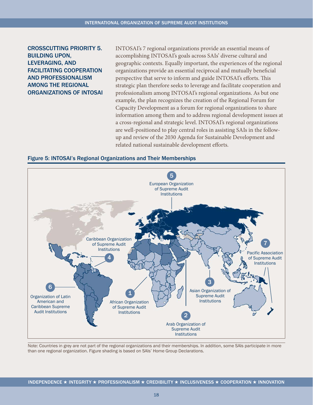# <span id="page-18-0"></span>CROSSCUTTING PRIORITY 5. BUILDING UPON, LEVERAGING, AND FACILITATING COOPERATION AND PROFESSIONALISM AMONG THE REGIONAL ORGANIZATIONS OF INTOSAI

INTOSAI's 7 regional organizations provide an essential means of accomplishing INTOSAI's goals across SAIs' diverse cultural and geographic contexts. Equally important, the experiences of the regional organizations provide an essential reciprocal and mutually beneficial perspective that serve to inform and guide INTOSAI's efforts. This strategic plan therefore seeks to leverage and facilitate cooperation and professionalism among INTOSAI's regional organizations. As but one example, the plan recognizes the creation of the Regional Forum for Capacity Development as a forum for regional organizations to share information among them and to address regional development issues at a cross-regional and strategic level. INTOSAI's regional organizations are well-positioned to play central roles in assisting SAIs in the followup and review of the 2030 Agenda for Sustainable Development and related national sustainable development efforts.





Note: Countries in grey are not part of the regional organizations and their memberships. In addition, some SAIs participate in more than one regional organization. Figure shading is based on SAIs' Home Group Declarations.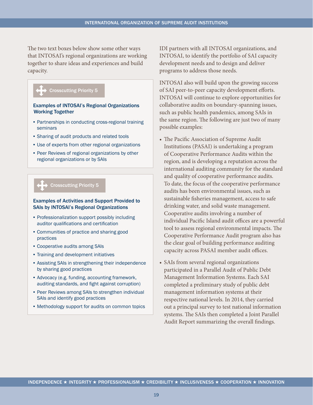The two text boxes below show some other ways that INTOSAI's regional organizations are working together to share ideas and experiences and build capacity.



#### Examples of INTOSAI's Regional Organizations Working Together

- Partnerships in conducting cross-regional training seminars
- Sharing of audit products and related tools
- Use of experts from other regional organizations
- Peer Reviews of regional organizations by other regional organizations or by SAIs

#### Crosscutting Priority 5

#### Examples of Activities and Support Provided to SAIs by INTOSAI's Regional Organizations

- Professionalization support possibly including auditor qualifications and certification
- Communities of practice and sharing good practices
- Cooperative audits among SAIs
- Training and development initiatives
- Assisting SAIs in strengthening their independence by sharing good practices
- Advocacy (e.g. funding, accounting framework, auditing standards, and fight against corruption)
- Peer Reviews among SAIs to strengthen individual SAIs and identify good practices
- Methodology support for audits on common topics

IDI partners with all INTOSAI organizations, and INTOSAI, to identify the portfolio of SAI capacity development needs and to design and deliver programs to address those needs.

INTOSAI also will build upon the growing success of SAI peer-to-peer capacity development efforts. INTOSAI will continue to explore opportunities for collaborative audits on boundary-spanning issues, such as public health pandemics, among SAIs in the same region. The following are just two of many possible examples:

- The Pacific Association of Supreme Audit Institutions (PASAI) is undertaking a program of Cooperative Performance Audits within the region, and is developing a reputation across the international auditing community for the standard and quality of cooperative performance audits. To date, the focus of the cooperative performance audits has been environmental issues, such as sustainable fisheries management, access to safe drinking water, and solid waste management. Cooperative audits involving a number of individual Pacific Island audit offices are a powerful tool to assess regional environmental impacts. The Cooperative Performance Audit program also has the clear goal of building performance auditing capacity across PASAI member audit offices.
- SAIs from several regional organizations participated in a Parallel Audit of Public Debt Management Information Systems. Each SAI completed a preliminary study of public debt management information systems at their respective national levels. In 2014, they carried out a principal survey to test national information systems. The SAIs then completed a Joint Parallel Audit Report summarizing the overall findings.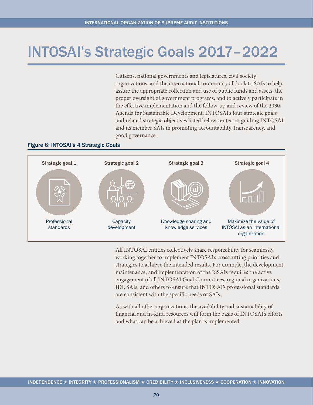# <span id="page-20-0"></span>INTOSAI's Strategic Goals 2017–2022

Citizens, national governments and legislatures, civil society organizations, and the international community all look to SAIs to help assure the appropriate collection and use of public funds and assets, the proper oversight of government programs, and to actively participate in the effective implementation and the follow-up and review of the 2030 Agenda for Sustainable Development. INTOSAI's four strategic goals and related strategic objectives listed below center on guiding INTOSAI and its member SAIs in promoting accountability, transparency, and good governance.

#### Figure 6: INTOSAI's 4 Strategic Goals



All INTOSAI entities collectively share responsibility for seamlessly working together to implement INTOSAI's crosscutting priorities and strategies to achieve the intended results. For example, the development, maintenance, and implementation of the ISSAIs requires the active engagement of all INTOSAI Goal Committees, regional organizations, IDI, SAIs, and others to ensure that INTOSAI's professional standards are consistent with the specific needs of SAIs.

As with all other organizations, the availability and sustainability of financial and in-kind resources will form the basis of INTOSAI's efforts and what can be achieved as the plan is implemented.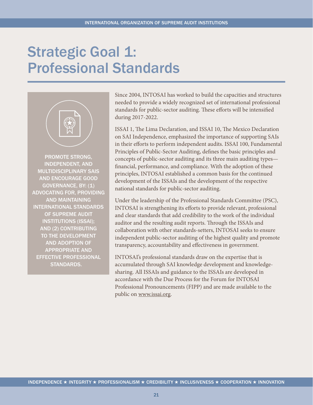# <span id="page-21-0"></span>Strategic Goal 1: Professional Standards



PROMOTE STRONG, INDEPENDENT, AND MULTIDISCIPLINARY SAIS AND ENCOURAGE GOOD GOVERNANCE, BY: (1) ADVOCATING FOR, PROVIDING AND MAINTAINING INTERNATIONAL STANDARDS OF SUPREME AUDIT INSTITUTIONS (ISSAI); AND (2) CONTRIBUTING TO THE DEVELOPMENT AND ADOPTION OF APPROPRIATE AND EFFECTIVE PROFESSIONAL STANDARDS.

Since 2004, INTOSAI has worked to build the capacities and structures needed to provide a widely recognized set of international professional standards for public-sector auditing. These efforts will be intensified during 2017-2022.

ISSAI 1, The Lima Declaration, and ISSAI 10, The Mexico Declaration on SAI Independence, emphasized the importance of supporting SAIs in their efforts to perform independent audits. ISSAI 100, Fundamental Principles of Public-Sector Auditing, defines the basic principles and concepts of public-sector auditing and its three main auditing types financial, performance, and compliance. With the adoption of these principles, INTOSAI established a common basis for the continued development of the ISSAIs and the development of the respective national standards for public-sector auditing.

Under the leadership of the Professional Standards Committee (PSC), INTOSAI is strengthening its efforts to provide relevant, professional and clear standards that add credibility to the work of the individual auditor and the resulting audit reports. Through the ISSAIs and collaboration with other standards-setters, INTOSAI seeks to ensure independent public-sector auditing of the highest quality and promote transparency, accountability and effectiveness in government.

INTOSAI's professional standards draw on the expertise that is accumulated through SAI knowledge development and knowledgesharing. All ISSAIs and guidance to the ISSAIs are developed in accordance with the Due Process for the Forum for INTOSAI Professional Pronouncements (FIPP) and are made available to the public on [www.issai.org.](www.issai.org)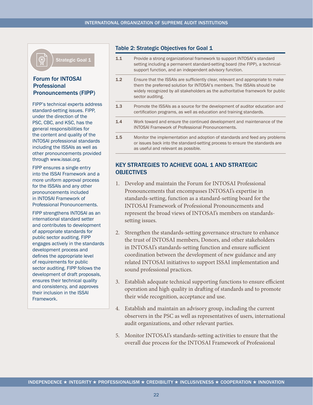<span id="page-22-0"></span>

Strategic Goal 1

### Forum for INTOSAI **Professional** Pronouncements (FIPP)

FIPP's technical experts address standard-setting issues. FIPP, under the direction of the PSC, CBC, and KSC, has the general responsibilities for the content and quality of the INTOSAI professional standards including the ISSAIs as well as other pronouncements provided through [www.issai.org.](www.issai.org)

FIPP ensures a single entry into the ISSAI Framework and a more uniform approval process for the ISSAIs and any other pronouncements included in INTOSAI Framework of Professional Pronouncements.

FIPP strengthens INTOSAI as an international standard setter and contributes to development of appropriate standards for public sector auditing. FIPP engages actively in the standards development process and defines the appropriate level of requirements for public sector auditing. FIPP follows the development of draft proposals, ensures their technical quality and consistency, and approves their inclusion in the ISSAI Framework.

#### Table 2: Strategic Objectives for Goal 1

- 1.1 Provide a strong organizational framework to support INTOSAI's standard setting including a permanent standard-setting board (the FIPP), a technicalsupport function, and an independent advisory function.
- **1.2** Ensure that the ISSAIs are sufficiently clear, relevant and appropriate to make them the preferred solution for INTOSAI's members. The ISSAIs should be widely recognized by all stakeholders as the authoritative framework for public sector auditing.
- 1.3 Promote the ISSAIs as a source for the development of auditor education and certification programs, as well as education and training standards.
- 1.4 Work toward and ensure the continued development and maintenance of the INTOSAI Framework of Professional Pronouncements.
- 1.5 Monitor the implementation and adoption of standards and feed any problems or issues back into the standard-setting process to ensure the standards are as useful and relevant as possible.

# KEY STRATEGIES TO ACHIEVE GOAL 1 AND STRATEGIC **OBJECTIVES**

- 1. Develop and maintain the Forum for INTOSAI Professional Pronouncements that encompasses INTOSAI's expertise in standards-setting, function as a standard-setting board for the INTOSAI Framework of Professional Pronouncements and represent the broad views of INTOSAI's members on standardssetting issues.
- 2. Strengthen the standards-setting governance structure to enhance the trust of INTOSAI members, Donors, and other stakeholders in INTOSAI's standards-setting function and ensure sufficient coordination between the development of new guidance and any related INTOSAI initiatives to support ISSAI implementation and sound professional practices.
- 3. Establish adequate technical supporting functions to ensure efficient operation and high quality in drafting of standards and to promote their wide recognition, acceptance and use.
- 4. Establish and maintain an advisory group, including the current observers in the PSC as well as representatives of users, international audit organizations, and other relevant parties.
- 5. Monitor INTOSAI's standards-setting activities to ensure that the overall due process for the INTOSAI Framework of Professional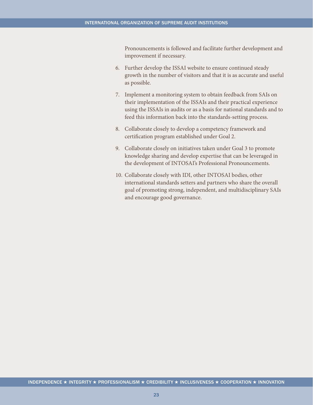Pronouncements is followed and facilitate further development and improvement if necessary.

- 6. Further develop the ISSAI website to ensure continued steady growth in the number of visitors and that it is as accurate and useful as possible.
- 7. Implement a monitoring system to obtain feedback from SAIs on their implementation of the ISSAIs and their practical experience using the ISSAIs in audits or as a basis for national standards and to feed this information back into the standards-setting process.
- 8. Collaborate closely to develop a competency framework and certification program established under Goal 2.
- 9. Collaborate closely on initiatives taken under Goal 3 to promote knowledge sharing and develop expertise that can be leveraged in the development of INTOSAI's Professional Pronouncements.
- 10. Collaborate closely with IDI, other INTOSAI bodies, other international standards setters and partners who share the overall goal of promoting strong, independent, and multidisciplinary SAIs and encourage good governance.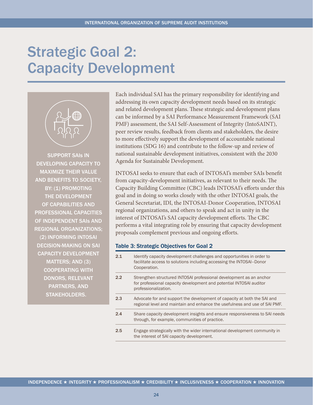# <span id="page-24-0"></span>Strategic Goal 2: Capacity Development



SUPPORT SAIs IN DEVELOPING CAPACITY TO MAXIMIZE THEIR VALUE AND BENEFITS TO SOCIETY, BY: (1) PROMOTING THE DEVELOPMENT OF CAPABILITIES AND PROFESSIONAL CAPACITIES OF INDEPENDENT SAIs AND REGIONAL ORGANIZATIONS; (2) INFORMING INTOSAI DECISION-MAKING ON SAI CAPACITY DEVELOPMENT MATTERS; AND (3) COOPERATING WITH DONORS, RELEVANT PARTNERS, AND STAKEHOLDERS.

Each individual SAI has the primary responsibility for identifying and addressing its own capacity development needs based on its strategic and related development plans. These strategic and development plans can be informed by a SAI Performance Measurement Framework (SAI PMF) assessment, the SAI Self-Assessment of Integrity (IntoSAINT), peer review results, feedback from clients and stakeholders, the desire to more effectively support the development of accountable national institutions (SDG 16) and contribute to the follow-up and review of national sustainable development initiatives, consistent with the 2030 Agenda for Sustainable Development.

INTOSAI seeks to ensure that each of INTOSAI's member SAIs benefit from capacity-development initiatives, as relevant to their needs. The Capacity Building Committee (CBC) leads INTOSAI's efforts under this goal and in doing so works closely with the other INTOSAI goals, the General Secretariat, IDI, the INTOSAI-Donor Cooperation, INTOSAI regional organizations, and others to speak and act in unity in the interest of INTOSAI's SAI capacity development efforts. The CBC performs a vital integrating role by ensuring that capacity development proposals complement previous and ongoing efforts.

#### Table 3: Strategic Objectives for Goal 2

| 21  | Identify capacity development challenges and opportunities in order to<br>facilitate access to solutions including accessing the INTOSAI-Donor<br>Cooperation.     |
|-----|--------------------------------------------------------------------------------------------------------------------------------------------------------------------|
| 2.2 | Strengthen structured INTOSAI professional development as an anchor<br>for professional capacity development and potential INTOSAI auditor<br>professionalization. |
| 2.3 | Advocate for and support the development of capacity at both the SAI and<br>regional level and maintain and enhance the usefulness and use of SAI PMF.             |
| 2.4 | Share capacity development insights and ensure responsiveness to SAI needs<br>through, for example, communities of practice.                                       |
| 2.5 | Engage strategically with the wider international development community in<br>the interest of SAI capacity development.                                            |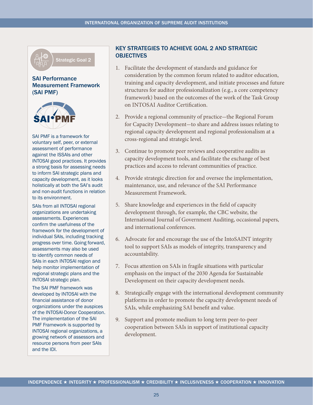

Strategic Goal 2

### SAI Performance Measurement Framework (SAI PMF)



SAI PMF is a framework for voluntary self, peer, or external assessment of performance against the ISSAIs and other INTOSAI good practices. It provides a strong basis for assessing needs to inform SAI strategic plans and capacity development, as it looks holistically at both the SAI's audit and non-audit functions in relation to its environment.

SAIs from all INTOSAI regional organizations are undertaking assessments. Experiences confirm the usefulness of the framework for the development of individual SAIs, including tracking progress over time. Going forward, assessments may also be used to identify common needs of SAIs in each INTOSAI region and help monitor implementation of regional strategic plans and the INTOSAI strategic plan.

The SAI PMF framework was developed by INTOSAI with the financial assistance of donor organizations under the auspices of the INTOSAI-Donor Cooperation. The implementation of the SAI PMF Framework is supported by INTOSAI regional organizations, a growing network of assessors and resource persons from peer SAIs and the IDI.

# KEY STRATEGIES TO ACHIEVE GOAL 2 AND STRATEGIC **OBJECTIVES**

- 1. Facilitate the development of standards and guidance for consideration by the common forum related to auditor education, training and capacity development, and initiate processes and future structures for auditor professionalization (e.g., a core competency framework) based on the outcomes of the work of the Task Group on INTOSAI Auditor Certification.
- 2. Provide a regional community of practice-the Regional Forum for Capacity Development-to share and address issues relating to regional capacity development and regional professionalism at a cross-regional and strategic level.
- 3. Continue to promote peer reviews and cooperative audits as capacity development tools, and facilitate the exchange of best practices and access to relevant communities of practice.
- 4. Provide strategic direction for and oversee the implementation, maintenance, use, and relevance of the SAI Performance Measurement Framework.
- 5. Share knowledge and experiences in the field of capacity development through, for example, the CBC website, the International Journal of Government Auditing, occasional papers, and international conferences.
- 6. Advocate for and encourage the use of the IntoSAINT integrity tool to support SAIs as models of integrity, transparency and accountability.
- 7. Focus attention on SAIs in fragile situations with particular emphasis on the impact of the 2030 Agenda for Sustainable Development on their capacity development needs.
- 8. Strategically engage with the international development community platforms in order to promote the capacity development needs of SAIs, while emphasizing SAI benefit and value.
- 9. Support and promote medium to long term peer-to-peer cooperation between SAIs in support of institutional capacity development.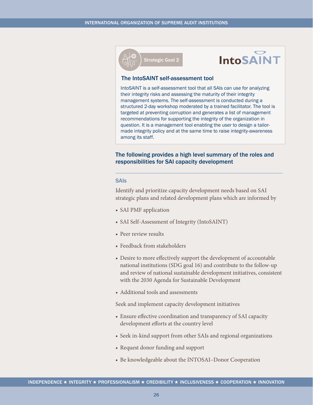



#### The IntoSAINT self-assessment tool

IntoSAINT is a self-assessment tool that all SAIs can use for analyzing their integrity risks and assessing the maturity of their integrity management systems. The self-assessment is conducted during a structured 2-day workshop moderated by a trained facilitator. The tool is targeted at preventing corruption and generates a list of management recommendations for supporting the integrity of the organization in question. It is a management tool enabling the user to design a tailormade integrity policy and at the same time to raise integrity-awareness among its staff.

#### The following provides a high level summary of the roles and responsibilities for SAI capacity development

#### **SAIs**

Identify and prioritize capacity development needs based on SAI strategic plans and related development plans which are informed by

- SAI PMF application
- SAI Self-Assessment of Integrity (IntoSAINT)
- Peer review results
- Feedback from stakeholders
- Desire to more effectively support the development of accountable national institutions (SDG goal 16) and contribute to the follow-up and review of national sustainable development initiatives, consistent with the 2030 Agenda for Sustainable Development
- Additional tools and assessments

Seek and implement capacity development initiatives

- Ensure effective coordination and transparency of SAI capacity development efforts at the country level
- Seek in-kind support from other SAIs and regional organizations
- Request donor funding and support
- Be knowledgeable about the INTOSAI-Donor Cooperation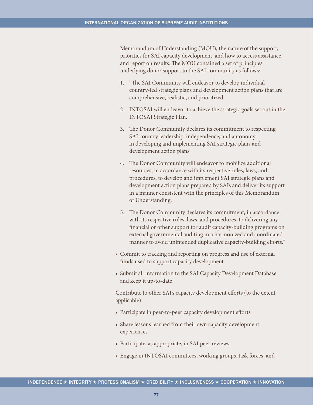Memorandum of Understanding (MOU), the nature of the support, priorities for SAI capacity development, and how to access assistance and report on results. The MOU contained a set of principles underlying donor support to the SAI community as follows:

- 1. "The SAI Community will endeavor to develop individual country-led strategic plans and development action plans that are comprehensive, realistic, and prioritized.
- 2. INTOSAI will endeavor to achieve the strategic goals set out in the INTOSAI Strategic Plan.
- 3. The Donor Community declares its commitment to respecting SAI country leadership, independence, and autonomy in developing and implementing SAI strategic plans and development action plans.
- 4. The Donor Community will endeavor to mobilize additional resources, in accordance with its respective rules, laws, and procedures, to develop and implement SAI strategic plans and development action plans prepared by SAIs and deliver its support in a manner consistent with the principles of this Memorandum of Understanding.
- 5. The Donor Community declares its commitment, in accordance with its respective rules, laws, and procedures, to delivering any financial or other support for audit capacity-building programs on external governmental auditing in a harmonized and coordinated manner to avoid unintended duplicative capacity-building efforts."
- Commit to tracking and reporting on progress and use of external funds used to support capacity development
- Submit all information to the SAI Capacity Development Database and keep it up-to-date

Contribute to other SAI's capacity development efforts (to the extent applicable)

- Participate in peer-to-peer capacity development efforts
- Share lessons learned from their own capacity development experiences
- Participate, as appropriate, in SAI peer reviews
- Engage in INTOSAI committees, working groups, task forces, and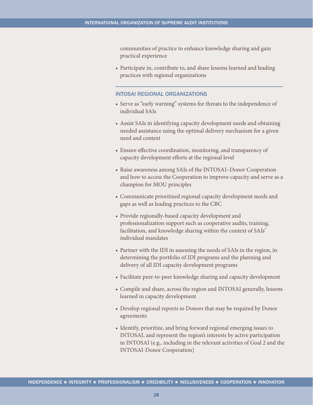communities of practice to enhance knowledge sharing and gain practical experience

• Participate in, contribute to, and share lessons learned and leading practices with regional organizations

### INTOSAI REGIONAL ORGANIZATIONS

- Serve as "early warning" systems for threats to the independence of individual SAIs
- Assist SAIs in identifying capacity development needs and obtaining needed assistance using the optimal delivery mechanism for a given need and context
- Ensure effective coordination, monitoring, and transparency of capacity development efforts at the regional level
- Raise awareness among SAIs of the INTOSAI–Donor Cooperation and how to access the Cooperation to improve capacity and serve as a champion for MOU principles
- • Communicate prioritized regional capacity development needs and gaps as well as leading practices to the CBC
- • Provide regionally-based capacity development and professionalization support such as cooperative audits, training, facilitation, and knowledge sharing within the context of SAIs' individual mandates
- Partner with the IDI in assessing the needs of SAIs in the region, in determining the portfolio of IDI programs and the planning and delivery of all IDI capacity development programs
- Facilitate peer-to-peer knowledge sharing and capacity development
- Compile and share, across the region and INTOSAI generally, lessons learned in capacity development
- Develop regional reports to Donors that may be required by Donor agreements
- Identify, prioritize, and bring forward regional emerging issues to INTOSAI, and represent the region's interests by active participation in INTOSAI (e.g., including in the relevant activities of Goal 2 and the INTOSAI-Donor Cooperation)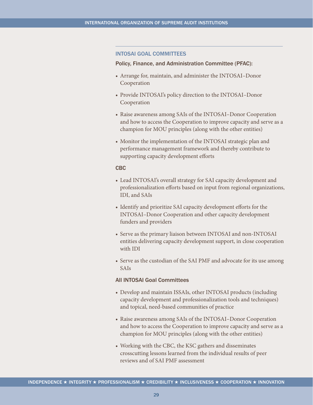#### INTOSAI GOAL COMMITTEES

#### Policy, Finance, and Administration Committee (PFAC):

- • Arrange for, maintain, and administer the INTOSAI–Donor Cooperation
- Provide INTOSAI's policy direction to the INTOSAI-Donor Cooperation
- Raise awareness among SAIs of the INTOSAI–Donor Cooperation and how to access the Cooperation to improve capacity and serve as a champion for MOU principles (along with the other entities)
- Monitor the implementation of the INTOSAI strategic plan and performance management framework and thereby contribute to supporting capacity development efforts

#### CBC

- Lead INTOSAI's overall strategy for SAI capacity development and professionalization efforts based on input from regional organizations, IDI, and SAIs
- Identify and prioritize SAI capacity development efforts for the INTOSAI–Donor Cooperation and other capacity development funders and providers
- Serve as the primary liaison between INTOSAI and non-INTOSAI entities delivering capacity development support, in close cooperation with IDI
- Serve as the custodian of the SAI PMF and advocate for its use among SAIs

#### All INTOSAI Goal Committees

- Develop and maintain ISSAIs, other INTOSAI products (including capacity development and professionalization tools and techniques) and topical, need-based communities of practice
- Raise awareness among SAIs of the INTOSAI–Donor Cooperation and how to access the Cooperation to improve capacity and serve as a champion for MOU principles (along with the other entities)
- Working with the CBC, the KSC gathers and disseminates crosscutting lessons learned from the individual results of peer reviews and of SAI PMF assessment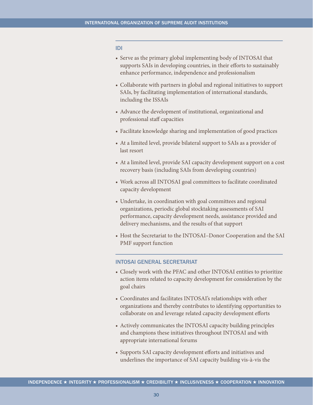#### IDI

- Serve as the primary global implementing body of INTOSAI that supports SAIs in developing countries, in their efforts to sustainably enhance performance, independence and professionalism
- Collaborate with partners in global and regional initiatives to support SAIs, by facilitating implementation of international standards, including the ISSAIs
- Advance the development of institutional, organizational and professional staff capacities
- Facilitate knowledge sharing and implementation of good practices
- At a limited level, provide bilateral support to SAIs as a provider of last resort
- At a limited level, provide SAI capacity development support on a cost recovery basis (including SAIs from developing countries)
- Work across all INTOSAI goal committees to facilitate coordinated capacity development
- Undertake, in coordination with goal committees and regional organizations, periodic global stocktaking assessments of SAI performance, capacity development needs, assistance provided and delivery mechanisms, and the results of that support
- Host the Secretariat to the INTOSAI–Donor Cooperation and the SAI PMF support function

#### INTOSAI GENERAL SECRETARIAT

- Closely work with the PFAC and other INTOSAI entities to prioritize action items related to capacity development for consideration by the goal chairs
- • Coordinates and facilitates INTOSAI's relationships with other organizations and thereby contributes to identifying opportunities to collaborate on and leverage related capacity development efforts
- Actively communicates the INTOSAI capacity building principles and champions these initiatives throughout INTOSAI and with appropriate international forums
- Supports SAI capacity development efforts and initiatives and underlines the importance of SAI capacity building vis-à-vis the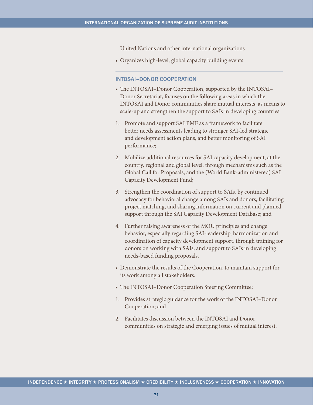United Nations and other international organizations

• Organizes high-level, global capacity building events

#### INTOSAI–DONOR COOPERATION

- The INTOSAI–Donor Cooperation, supported by the INTOSAI– Donor Secretariat, focuses on the following areas in which the INTOSAI and Donor communities share mutual interests, as means to scale-up and strengthen the support to SAIs in developing countries:
- 1. Promote and support SAI PMF as a framework to facilitate better needs assessments leading to stronger SAI-led strategic and development action plans, and better monitoring of SAI performance;
- 2. Mobilize additional resources for SAI capacity development, at the country, regional and global level, through mechanisms such as the Global Call for Proposals, and the (World Bank-administered) SAI Capacity Development Fund;
- 3. Strengthen the coordination of support to SAIs, by continued advocacy for behavioral change among SAIs and donors, facilitating project matching, and sharing information on current and planned support through the SAI Capacity Development Database; and
- 4. Further raising awareness of the MOU principles and change behavior, especially regarding SAI-leadership, harmonization and coordination of capacity development support, through training for donors on working with SAIs, and support to SAIs in developing needs-based funding proposals.
- Demonstrate the results of the Cooperation, to maintain support for its work among all stakeholders.
- The INTOSAI–Donor Cooperation Steering Committee:
- 1. Provides strategic guidance for the work of the INTOSAI–Donor Cooperation; and
- 2. Facilitates discussion between the INTOSAI and Donor communities on strategic and emerging issues of mutual interest.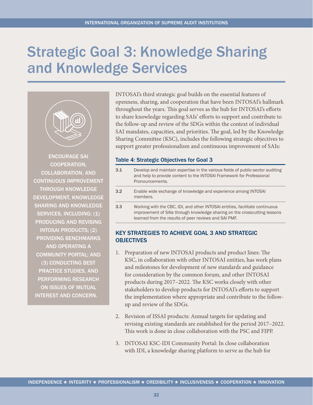# <span id="page-32-0"></span>Strategic Goal 3: Knowledge Sharing and Knowledge Services



ENCOURAGE SAI COOPERATION, COLLABORATION, AND CONTINUOUS IMPROVEMENT THROUGH KNOWLEDGE DEVELOPMENT, KNOWLEDGE SHARING AND KNOWLEDGE SERVICES, INCLUDING: (1) PRODUCING AND REVISING INTOSAI PRODUCTS; (2) PROVIDING BENCHMARKS AND OPERATING A COMMUNITY PORTAL; AND (3) CONDUCTING BEST PRACTICE STUDIES, AND PERFORMING RESEARCH ON ISSUES OF MUTUAL INTEREST AND CONCERN.

INTOSAI's third strategic goal builds on the essential features of openness, sharing, and cooperation that have been INTOSAI's hallmark throughout the years. This goal serves as the hub for INTOSAI's efforts to share knowledge regarding SAIs' efforts to support and contribute to the follow-up and review of the SDGs within the context of individual SAI mandates, capacities, and priorities. The goal, led by the Knowledge Sharing Committee (KSC), includes the following strategic objectives to support greater professionalism and continuous improvement of SAIs:

### Table 4: Strategic Objectives for Goal 3

3.1 Develop and maintain expertise in the various fields of public-sector auditing and help to provide content to the INTOSAI Framework for Professional Pronouncements. 3.2 Enable wide exchange of knowledge and experience among INTOSAI members. 3.3 Working with the CBC, IDI, and other INTOSAI entities, facilitate continuous improvement of SAIs through knowledge sharing on the crosscutting lessons learned from the results of peer reviews and SAI PMF.

# KEY STRATEGIES TO ACHIEVE GOAL 3 AND STRATEGIC **OBJECTIVES**

- 1. Preparation of new INTOSAI products and product lines: The KSC, in collaboration with other INTOSAI entities, has work plans and milestones for development of new standards and guidance for consideration by the common forum, and other INTOSAI products during 2017–2022. The KSC works closely with other stakeholders to develop products for INTOSAI's efforts to support the implementation where appropriate and contribute to the followup and review of the SDGs.
- 2. Revision of ISSAI products: Annual targets for updating and revising existing standards are established for the period 2017–2022. This work is done in close collaboration with the PSC and FIPP.
- 3. INTOSAI KSC-IDI Community Portal: In close collaboration with IDI, a knowledge sharing platform to serve as the hub for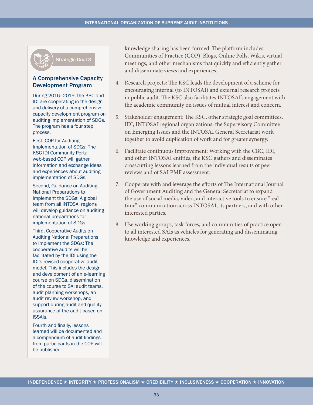

#### A Comprehensive Capacity Development Program

During 2016–2019, the KSC and IDI are cooperating in the design and delivery of a comprehensive capacity development program on auditing implementation of SDGs. The program has a four step process.

First, COP for Auditing Implementation of SDGs: The KSC-IDI Community Portal web-based COP will gather information and exchange ideas and experiences about auditing implementation of SDGs.

Second, Guidance on Auditing National Preparations to Implement the SDGs: A global team from all INTOSAI regions will develop guidance on auditing national preparations for implementation of SDGs.

Third, Cooperative Audits on Auditing National Preparations to Implement the SDGs: The cooperative audits will be facilitated by the IDI using the IDI's revised cooperative audit model. This includes the design and development of an e-learning course on SDGs, dissemination of the course to SAI audit teams, audit planning workshops, an audit review workshop, and support during audit and quality assurance of the audit based on ISSAIs.

Fourth and finally, lessons learned will be documented and a compendium of audit findings from participants in the COP will be published.

knowledge sharing has been formed. The platform includes Communities of Practice (COP), Blogs, Online Polls, Wikis, virtual meetings, and other mechanisms that quickly and efficiently gather and disseminate views and experiences.

- 4. Research projects: The KSC leads the development of a scheme for encouraging internal (to INTOSAI) and external research projects in public audit. The KSC also facilitates INTOSAI's engagement with the academic community on issues of mutual interest and concern.
- 5. Stakeholder engagement: The KSC, other strategic goal committees, IDI, INTOSAI regional organizations, the Supervisory Committee on Emerging Issues and the INTOSAI General Secretariat work together to avoid duplication of work and for greater synergy.
- 6. Facilitate continuous improvement: Working with the CBC, IDI, and other INTOSAI entities, the KSC gathers and disseminates crosscutting lessons learned from the individual results of peer reviews and of SAI PMF assessment.
- 7. Cooperate with and leverage the efforts of The International Journal of Government Auditing and the General Secretariat to expand the use of social media, video, and interactive tools to ensure "realtime" communication across INTOSAI, its partners, and with other interested parties.
- 8. Use working groups, task forces, and communities of practice open to all interested SAIs as vehicles for generating and disseminating knowledge and experiences.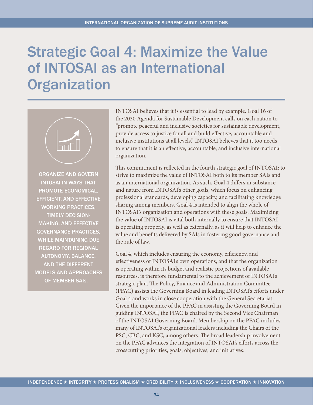# <span id="page-34-0"></span>Strategic Goal 4: Maximize the Value of INTOSAI as an International **Organization**



ORGANIZE AND GOVERN INTOSAI IN WAYS THAT PROMOTE ECONOMICAL, EFFICIENT, AND EFFECTIVE WORKING PRACTICES, TIMELY DECISION-MAKING, AND EFFECTIVE GOVERNANCE PRACTICES, WHILE MAINTAINING DUE REGARD FOR REGIONAL AUTONOMY, BALANCE, AND THE DIFFERENT MODELS AND APPROACHES OF MEMBER SAIs.

INTOSAI believes that it is essential to lead by example. Goal 16 of the 2030 Agenda for Sustainable Development calls on each nation to "promote peaceful and inclusive societies for sustainable development, provide access to justice for all and build effective, accountable and inclusive institutions at all levels." INTOSAI believes that it too needs to ensure that it is an effective, accountable, and inclusive international organization.

This commitment is reflected in the fourth strategic goal of INTOSAI: to strive to maximize the value of INTOSAI both to its member SAIs and as an international organization. As such, Goal 4 differs in substance and nature from INTOSAI's other goals, which focus on enhancing professional standards, developing capacity, and facilitating knowledge sharing among members. Goal 4 is intended to align the whole of INTOSAI's organization and operations with these goals. Maximizing the value of INTOSAI is vital both internally to ensure that INTOSAI is operating properly, as well as externally, as it will help to enhance the value and benefits delivered by SAIs in fostering good governance and the rule of law.

Goal 4, which includes ensuring the economy, efficiency, and effectiveness of INTOSAI's own operations, and that the organization is operating within its budget and realistic projections of available resources, is therefore fundamental to the achievement of INTOSAI's strategic plan. The Policy, Finance and Administration Committee (PFAC) assists the Governing Board in leading INTOSAI's efforts under Goal 4 and works in close cooperation with the General Secretariat. Given the importance of the PFAC in assisting the Governing Board in guiding INTOSAI, the PFAC is chaired by the Second Vice Chairman of the INTOSAI Governing Board. Membership on the PFAC includes many of INTOSAI's organizational leaders including the Chairs of the PSC, CBC, and KSC, among others. The broad leadership involvement on the PFAC advances the integration of INTOSAI's efforts across the crosscutting priorities, goals, objectives, and initiatives.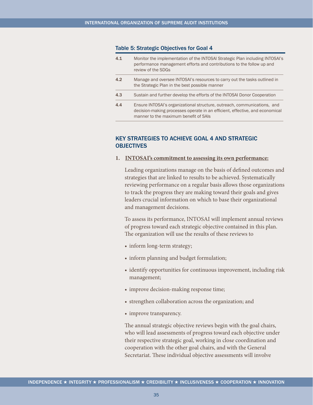#### <span id="page-35-0"></span>Table 5: Strategic Objectives for Goal 4

| 4.1 | Monitor the implementation of the INTOSAI Strategic Plan including INTOSAI's<br>performance management efforts and contributions to the follow up and<br>review of the SDGs                       |
|-----|---------------------------------------------------------------------------------------------------------------------------------------------------------------------------------------------------|
| 4.2 | Manage and oversee INTOSAI's resources to carry out the tasks outlined in<br>the Strategic Plan in the best possible manner                                                                       |
| 4.3 | Sustain and further develop the efforts of the INTOSAI Donor Cooperation                                                                                                                          |
| 4.4 | Ensure INTOSAI's organizational structure, outreach, communications, and<br>decision-making processes operate in an efficient, effective, and economical<br>manner to the maximum benefit of SAIs |

# KEY STRATEGIES TO ACHIEVE GOAL 4 AND STRATEGIC **OBJECTIVES**

**1. INTOSAI's commitment to assessing its own performance:**

Leading organizations manage on the basis of defined outcomes and strategies that are linked to results to be achieved. Systematically reviewing performance on a regular basis allows those organizations to track the progress they are making toward their goals and gives leaders crucial information on which to base their organizational and management decisions.

To assess its performance, INTOSAI will implement annual reviews of progress toward each strategic objective contained in this plan. The organization will use the results of these reviews to

- inform long-term strategy;
- inform planning and budget formulation;
- identify opportunities for continuous improvement, including risk management;
- improve decision-making response time;
- strengthen collaboration across the organization; and
- improve transparency.

The annual strategic objective reviews begin with the goal chairs, who will lead assessments of progress toward each objective under their respective strategic goal, working in close coordination and cooperation with the other goal chairs, and with the General Secretariat. These individual objective assessments will involve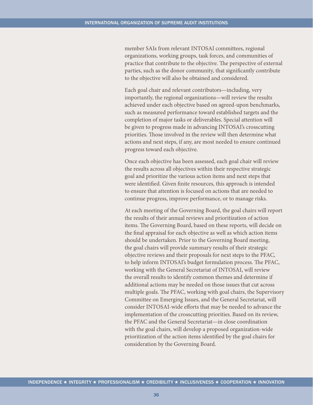member SAIs from relevant INTOSAI committees, regional organizations, working groups, task forces, and communities of practice that contribute to the objective. The perspective of external parties, such as the donor community, that significantly contribute to the objective will also be obtained and considered.

Each goal chair and relevant contributors—including, very importantly, the regional organizations—will review the results achieved under each objective based on agreed-upon benchmarks, such as measured performance toward established targets and the completion of major tasks or deliverables. Special attention will be given to progress made in advancing INTOSAI's crosscutting priorities. Those involved in the review will then determine what actions and next steps, if any, are most needed to ensure continued progress toward each objective.

Once each objective has been assessed, each goal chair will review the results across all objectives within their respective strategic goal and prioritize the various action items and next steps that were identified. Given finite resources, this approach is intended to ensure that attention is focused on actions that are needed to continue progress, improve performance, or to manage risks.

At each meeting of the Governing Board, the goal chairs will report the results of their annual reviews and prioritization of action items. The Governing Board, based on these reports, will decide on the final appraisal for each objective as well as which action items should be undertaken. Prior to the Governing Board meeting, the goal chairs will provide summary results of their strategic objective reviews and their proposals for next steps to the PFAC, to help inform INTOSAI's budget formulation process. The PFAC, working with the General Secretariat of INTOSAI, will review the overall results to identify common themes and determine if additional actions may be needed on those issues that cut across multiple goals. The PFAC, working with goal chairs, the Supervisory Committee on Emerging Issues, and the General Secretariat, will consider INTOSAI-wide efforts that may be needed to advance the implementation of the crosscutting priorities. Based on its review, the PFAC and the General Secretariat—in close coordination with the goal chairs, will develop a proposed organization-wide prioritization of the action items identified by the goal chairs for consideration by the Governing Board.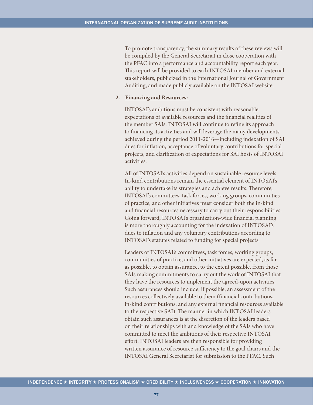To promote transparency, the summary results of these reviews will be compiled by the General Secretariat in close cooperation with the PFAC into a performance and accountability report each year. This report will be provided to each INTOSAI member and external stakeholders, publicized in the International Journal of Government Auditing, and made publicly available on the INTOSAI website.

#### **2. Financing and Resources:**

INTOSAI's ambitions must be consistent with reasonable expectations of available resources and the financial realities of the member SAIs. INTOSAI will continue to refine its approach to financing its activities and will leverage the many developments achieved during the period 2011-2016—including indexation of SAI dues for inflation, acceptance of voluntary contributions for special projects, and clarification of expectations for SAI hosts of INTOSAI activities.

All of INTOSAI's activities depend on sustainable resource levels. In-kind contributions remain the essential element of INTOSAI's ability to undertake its strategies and achieve results. Therefore, INTOSAI's committees, task forces, working groups, communities of practice, and other initiatives must consider both the in-kind and financial resources necessary to carry out their responsibilities. Going forward, INTOSAI's organization-wide financial planning is more thoroughly accounting for the indexation of INTOSAI's dues to inflation and any voluntary contributions according to INTOSAI's statutes related to funding for special projects.

Leaders of INTOSAI's committees, task forces, working groups, communities of practice, and other initiatives are expected, as far as possible, to obtain assurance, to the extent possible, from those SAIs making commitments to carry out the work of INTOSAI that they have the resources to implement the agreed-upon activities. Such assurances should include, if possible, an assessment of the resources collectively available to them (financial contributions, in-kind contributions, and any external financial resources available to the respective SAI). The manner in which INTOSAI leaders obtain such assurances is at the discretion of the leaders based on their relationships with and knowledge of the SAIs who have committed to meet the ambitions of their respective INTOSAI effort. INTOSAI leaders are then responsible for providing written assurance of resource sufficiency to the goal chairs and the INTOSAI General Secretariat for submission to the PFAC. Such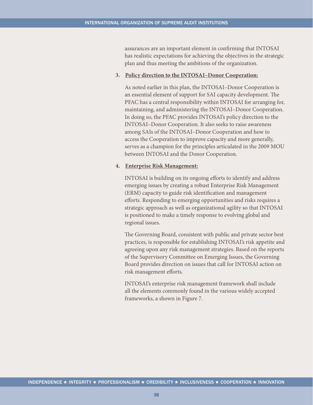assurances are an important element in confirming that INTOSAI has realistic expectations for achieving the objectives in the strategic plan and thus meeting the ambitions of the organization.

#### **3. Policy direction to the INTOSAI–Donor Cooperation:**

As noted earlier in this plan, the INTOSAI–Donor Cooperation is an essential element of support for SAI capacity development. The PFAC has a central responsibility within INTOSAI for arranging for, maintaining, and administering the INTOSAI–Donor Cooperation. In doing so, the PFAC provides INTOSAI's policy direction to the INTOSAI–Donor Cooperation. It also seeks to raise awareness among SAIs of the INTOSAI–Donor Cooperation and how to access the Cooperation to improve capacity and more generally, serves as a champion for the principles articulated in the 2009 MOU between INTOSAI and the Donor Cooperation.

#### **4. Enterprise Risk Management:**

INTOSAI is building on its ongoing efforts to identify and address emerging issues by creating a robust Enterprise Risk Management (ERM) capacity to guide risk identification and management efforts. Responding to emerging opportunities and risks requires a strategic approach as well as organizational agility so that INTOSAI is positioned to make a timely response to evolving global and regional issues.

The Governing Board, consistent with public and private sector best practices, is responsible for establishing INTOSAI's risk appetite and agreeing upon any risk management strategies. Based on the reports of the Supervisory Committee on Emerging Issues, the Governing Board provides direction on issues that call for INTOSAI action on risk management efforts.

INTOSAI's enterprise risk management framework shall include all the elements commonly found in the various widely accepted frameworks, a shown in Figure 7.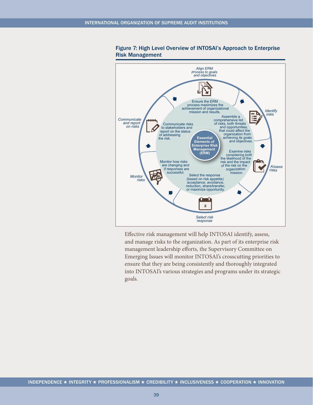<span id="page-39-0"></span>

#### Figure 7: High Level Overview of INTOSAI's Approach to Enterprise Risk Management

Effective risk management will help INTOSAI identify, assess, and manage risks to the organization. As part of its enterprise risk management leadership efforts, the Supervisory Committee on Emerging Issues will monitor INTOSAI's crosscutting priorities to ensure that they are being consistently and thoroughly integrated into INTOSAI's various strategies and programs under its strategic goals.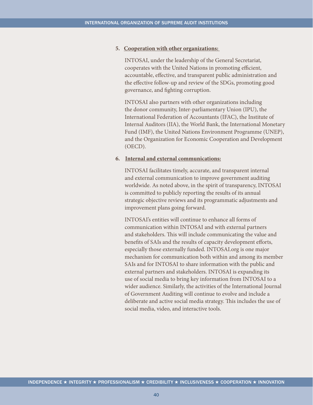#### **5. Cooperation with other organizations:**

INTOSAI, under the leadership of the General Secretariat, cooperates with the United Nations in promoting efficient, accountable, effective, and transparent public administration and the effective follow-up and review of the SDGs, promoting good governance, and fighting corruption.

INTOSAI also partners with other organizations including the donor community, Inter-parliamentary Union (IPU), the International Federation of Accountants (IFAC), the Institute of Internal Auditors (IIA), the World Bank, the International Monetary Fund (IMF), the United Nations Environment Programme (UNEP), and the Organization for Economic Cooperation and Development (OECD).

#### **6. Internal and external communications:**

INTOSAI facilitates timely, accurate, and transparent internal and external communication to improve government auditing worldwide. As noted above, in the spirit of transparency, INTOSAI is committed to publicly reporting the results of its annual strategic objective reviews and its programmatic adjustments and improvement plans going forward.

INTOSAI's entities will continue to enhance all forms of communication within INTOSAI and with external partners and stakeholders. This will include communicating the value and benefits of SAIs and the results of capacity development efforts, especially those externally funded.<INTOSAI.org>is one major mechanism for communication both within and among its member SAIs and for INTOSAI to share information with the public and external partners and stakeholders. INTOSAI is expanding its use of social media to bring key information from INTOSAI to a wider audience. Similarly, the activities of the International Journal of Government Auditing will continue to evolve and include a deliberate and active social media strategy. This includes the use of social media, video, and interactive tools.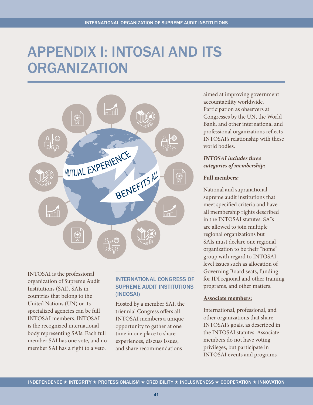# <span id="page-41-0"></span>APPENDIX I: INTOSAI AND ITS **ORGANIZATION**



INTOSAI is the professional organization of Supreme Audit Institutions (SAI). SAIs in countries that belong to the United Nations (UN) or its specialized agencies can be full INTOSAI members. INTOSAI is the recognized international body representing SAIs. Each full member SAI has one vote, and no member SAI has a right to a veto.

# INTERNATIONAL CONGRESS OF SUPREME AUDIT INSTITUTIONS (INCOSAI)

Hosted by a member SAI, the triennial Congress offers all INTOSAI members a unique opportunity to gather at one time in one place to share experiences, discuss issues, and share recommendations

aimed at improving government accountability worldwide. Participation as observers at Congresses by the UN, the World Bank, and other international and professional organizations reflects INTOSAI's relationship with these world bodies.

# *INTOSAI includes three categories of membership:*

## **Full members:**

National and supranational supreme audit institutions that meet specified criteria and have all membership rights described in the INTOSAI statutes. SAIs are allowed to join multiple regional organizations but SAIs must declare one regional organization to be their "home" group with regard to INTOSAIlevel issues such as allocation of Governing Board seats, funding for IDI regional and other training programs, and other matters.

### **Associate members:**

International, professional, and other organizations that share INTOSAI's goals, as described in the INTOSAI statutes. Associate members do not have voting privileges, but participate in INTOSAI events and programs

41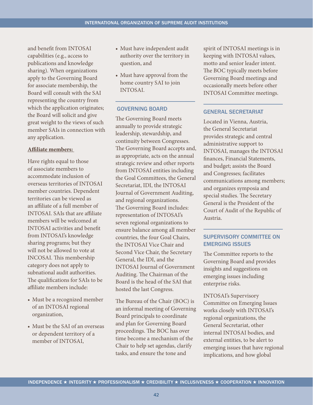and benefit from INTOSAI capabilities (e.g., access to publications and knowledge sharing). When organizations apply to the Governing Board for associate membership, the Board will consult with the SAI representing the country from which the application originates; the Board will solicit and give great weight to the views of such member SAIs in connection with any application.

### **Affiliate members:**

Have rights equal to those of associate members to accommodate inclusion of overseas territories of INTOSAI member countries. Dependent territories can be viewed as an affiliate of a full member of INTOSAI. SAIs that are affiliate members will be welcomed at INTOSAI activities and benefit from INTOSAI's knowledge sharing programs; but they will not be allowed to vote at INCOSAI. This membership category does not apply to subnational audit authorities. The qualifications for SAIs to be affiliate members include:

- Must be a recognized member of an INTOSAI regional organization,
- Must be the SAI of an overseas or dependent territory of a member of INTOSAI,
- Must have independent audit authority over the territory in question, and
- Must have approval from the home country SAI to join INTOSAI.

### GOVERNING BOARD

The Governing Board meets annually to provide strategic leadership, stewardship, and continuity between Congresses. The Governing Board accepts and, as appropriate, acts on the annual strategic review and other reports from INTOSAI entities including the Goal Committees, the General Secretariat, IDI, the INTOSAI Journal of Government Auditing, and regional organizations. The Governing Board includes: representation of INTOSAI's seven regional organizations to ensure balance among all member countries, the four Goal Chairs, the INTOSAI Vice Chair and Second Vice Chair, the Secretary General, the IDI, and the INTOSAI Journal of Government Auditing. The Chairman of the Board is the head of the SAI that hosted the last Congress.

The Bureau of the Chair (BOC) is an informal meeting of Governing Board principals to coordinate and plan for Governing Board proceedings. The BOC has over time become a mechanism of the Chair to help set agendas, clarify tasks, and ensure the tone and

spirit of INTOSAI meetings is in keeping with INTOSAI values, motto and senior leader intent. The BOC typically meets before Governing Board meetings and occasionally meets before other INTOSAI Committee meetings.

### GENERAL SECRETARIAT

Located in Vienna, Austria, the General Secretariat provides strategic and central administrative support to INTOSAI, manages the INTOSAI finances, Financial Statements, and budget; assists the Board and Congresses; facilitates communications among members; and organizes symposia and special studies. The Secretary General is the President of the Court of Audit of the Republic of Austria.

# SUPERVISORY COMMITTEE ON EMERGING ISSUES

The Committee reports to the Governing Board and provides insights and suggestions on emerging issues including enterprise risks.

INTOSAI's Supervisory Committee on Emerging Issues works closely with INTOSAI's regional organizations, the General Secretariat, other internal INTOSAI bodies, and external entities, to be alert to emerging issues that have regional implications, and how global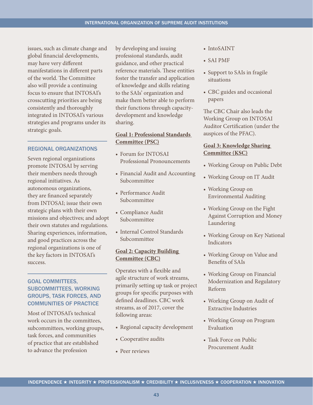issues, such as climate change and global financial developments, may have very different manifestations in different parts of the world. The Committee also will provide a continuing focus to ensure that INTOSAI's crosscutting priorities are being consistently and thoroughly integrated in INTOSAI's various strategies and programs under its strategic goals.

#### REGIONAL ORGANIZATIONS

Seven regional organizations promote INTOSAI by serving their members needs through regional initiatives. As autonomous organizations, they are financed separately from INTOSAI; issue their own strategic plans with their own missions and objectives; and adopt their own statutes and regulations. Sharing experiences, information, and good practices across the regional organizations is one of the key factors in INTOSAI's success.

# GOAL COMMITTEES, SUBCOMMITTEES, WORKING GROUPS, TASK FORCES, AND COMMUNITIES OF PRACTICE

Most of INTOSAI's technical work occurs in the committees, subcommittees, working groups, task forces, and communities of practice that are established to advance the profession

by developing and issuing professional standards, audit guidance, and other practical reference materials. These entities foster the transfer and application of knowledge and skills relating to the SAIs' organization and make them better able to perform their functions through capacitydevelopment and knowledge sharing.

# **Goal 1: Professional Standards Committee (PSC)**

- Forum for INTOSAI Professional Pronouncements
- Financial Audit and Accounting Subcommittee
- • Performance Audit Subcommittee
- • Compliance Audit Subcommittee
- Internal Control Standards Subcommittee

### **Goal 2: Capacity Building Committee (CBC)**

Operates with a flexible and agile structure of work streams, primarily setting up task or project groups for specific purposes with defined deadlines. CBC work streams, as of 2017, cover the following areas:

- Regional capacity development
- Cooperative audits
- Peer reviews
- IntoSAINT
- • SAI PMF
- Support to SAIs in fragile situations
- CBC guides and occasional papers

The CBC Chair also leads the Working Group on INTOSAI Auditor Certification (under the auspices of the PFAC).

## **Goal 3: Knowledge Sharing Committee (KSC)**

- Working Group on Public Debt
- Working Group on IT Audit
- Working Group on Environmental Auditing
- Working Group on the Fight Against Corruption and Money Laundering
- Working Group on Key National Indicators
- Working Group on Value and Benefits of SAIs
- Working Group on Financial Modernization and Regulatory Reform
- Working Group on Audit of Extractive Industries
- Working Group on Program Evaluation
- Task Force on Public Procurement Audit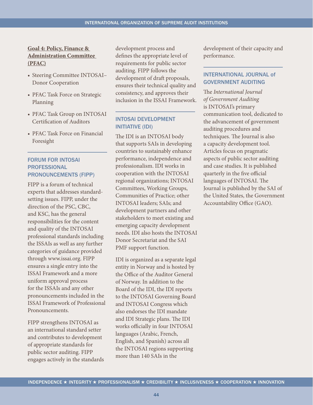## **Goal 4: Policy, Finance & Administration Committee (PFAC)**

- Steering Committee INTOSAI-Donor Cooperation
- PFAC Task Force on Strategic Planning
- PFAC Task Group on INTOSAI Certification of Auditors
- PFAC Task Force on Financial Foresight

# FORUM FOR INTOSAI PROFESSIONAL PRONOUNCEMENTS (FIPP)

FIPP is a forum of technical experts that addresses standardsetting issues. FIPP, under the direction of the PSC, CBC, and KSC, has the general responsibilities for the content and quality of the INTOSAI professional standards including the ISSAIs as well as any further categories of guidance provided through [www.issai.org.](www.issai.org) FIPP ensures a single entry into the ISSAI Framework and a more uniform approval process for the ISSAIs and any other pronouncements included in the ISSAI Framework of Professional Pronouncements.

FIPP strengthens INTOSAI as an international standard setter and contributes to development of appropriate standards for public sector auditing. FIPP engages actively in the standards development process and defines the appropriate level of requirements for public sector auditing. FIPP follows the development of draft proposals, ensures their technical quality and consistency, and approves their inclusion in the ISSAI Framework.

# INTOSAI DEVELOPMENT INITIATIVE (IDI)

The IDI is an INTOSAI body that supports SAIs in developing countries to sustainably enhance performance, independence and professionalism. IDI works in cooperation with the INTOSAI regional organizations; INTOSAI Committees, Working Groups, Communities of Practice; other INTOSAI leaders; SAIs; and development partners and other stakeholders to meet existing and emerging capacity development needs. IDI also hosts the INTOSAI Donor Secretariat and the SAI PMF support function.

IDI is organized as a separate legal entity in Norway and is hosted by the Office of the Auditor General of Norway. In addition to the Board of the IDI, the IDI reports to the INTOSAI Governing Board and INTOSAI Congress which also endorses the IDI mandate and IDI Strategic plans. The IDI works officially in four INTOSAI languages (Arabic, French, English, and Spanish) across all the INTOSAI regions supporting more than 140 SAIs in the

development of their capacity and performance.

## INTERNATIONAL JOURNAL of GOVERNMENT AUDITING

The *International Journal of Government Auditing*  is INTOSAI's primary communication tool, dedicated to the advancement of government auditing procedures and techniques. The Journal is also a capacity development tool. Articles focus on pragmatic aspects of public sector auditing and case studies. It is published quarterly in the five official languages of INTOSAI. The Journal is published by the SAI of the United States, the Government Accountability Office (GAO).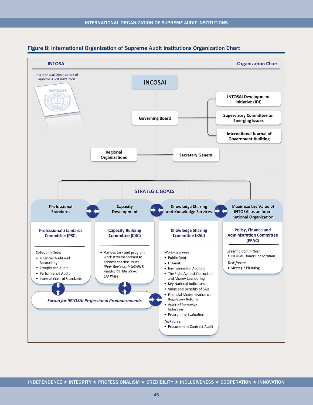

#### <span id="page-45-0"></span>Figure 8: International Organization of Supreme Audit Institutions Organization Chart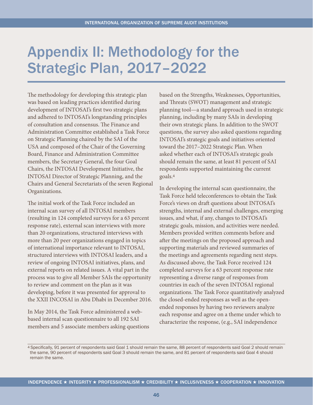# <span id="page-46-0"></span>Appendix II: Methodology for the Strategic Plan, 2017–2022

The methodology for developing this strategic plan was based on leading practices identified during development of INTOSAI's first two strategic plans and adhered to INTOSAI's longstanding principles of consultation and consensus. The Finance and Administration Committee established a Task Force on Strategic Planning chaired by the SAI of the USA and composed of the Chair of the Governing Board, Finance and Administration Committee members, the Secretary General, the four Goal Chairs, the INTOSAI Development Initiative, the INTOSAI Director of Strategic Planning, and the Chairs and General Secretariats of the seven Regional Organizations.

The initial work of the Task Force included an internal scan survey of all INTOSAI members (resulting in 124 completed surveys for a 63 percent response rate), external scan interviews with more than 20 organizations, structured interviews with more than 20 peer organizations engaged in topics of international importance relevant to INTOSAI, structured interviews with INTOSAI leaders, and a review of ongoing INTOSAI initiatives, plans, and external reports on related issues. A vital part in the process was to give all Member SAIs the opportunity to review and comment on the plan as it was developing, before it was presented for approval to the XXII INCOSAI in Abu Dhabi in December 2016.

In May 2014, the Task Force administered a webbased internal scan questionnaire to all 192 SAI members and 5 associate members asking questions based on the Strengths, Weaknesses, Opportunities, and Threats (SWOT) management and strategic planning tool—a standard approach used in strategic planning, including by many SAIs in developing their own strategic plans. In addition to the SWOT questions, the survey also asked questions regarding INTOSAI's strategic goals and initiatives oriented toward the 2017–2022 Strategic Plan. When asked whether each of INTOSAI's strategic goals should remain the same, at least 81 percent of SAI respondents supported maintaining the current goals.<sup>4</sup>

In developing the internal scan questionnaire, the Task Force held teleconferences to obtain the Task Force's views on draft questions about INTOSAI's strengths, internal and external challenges, emerging issues, and what, if any, changes to INTOSAI's strategic goals, mission, and activities were needed. Members provided written comments before and after the meetings on the proposed approach and supporting materials and reviewed summaries of the meetings and agreements regarding next steps. As discussed above, the Task Force received 124 completed surveys for a 63 percent response rate representing a diverse range of responses from countries in each of the seven INTOSAI regional organizations. The Task Force quantitatively analyzed the closed-ended responses as well as the openended responses by having two reviewers analyze each response and agree on a theme under which to characterize the response, (e.g., SAI independence

<sup>4</sup> Specifically, 91 percent of respondents said Goal 1 should remain the same, 88 percent of respondents said Goal 2 should remain the same, 90 percent of respondents said Goal 3 should remain the same, and 81 percent of respondents said Goal 4 should remain the same.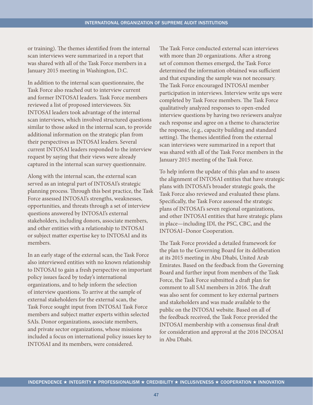or training). The themes identified from the internal scan interviews were summarized in a report that was shared with all of the Task Force members in a January 2015 meeting in Washington, D.C.

In addition to the internal scan questionnaire, the Task Force also reached out to interview current and former INTOSAI leaders. Task Force members reviewed a list of proposed interviewees. Six INTOSAI leaders took advantage of the internal scan interviews, which involved structured questions similar to those asked in the internal scan, to provide additional information on the strategic plan from their perspectives as INTOSAI leaders. Several current INTOSAI leaders responded to the interview request by saying that their views were already captured in the internal scan survey questionnaire.

Along with the internal scan, the external scan served as an integral part of INTOSAI's strategic planning process. Through this best practice, the Task Force assessed INTOSAI's strengths, weaknesses, opportunities, and threats through a set of interview questions answered by INTOSAI's external stakeholders, including donors, associate members, and other entities with a relationship to INTOSAI or subject matter expertise key to INTOSAI and its members.

In an early stage of the external scan, the Task Force also interviewed entities with no known relationship to INTOSAI to gain a fresh perspective on important policy issues faced by today's international organizations, and to help inform the selection of interview questions. To arrive at the sample of external stakeholders for the external scan, the Task Force sought input from INTOSAI Task Force members and subject matter experts within selected SAIs. Donor organizations, associate members, and private sector organizations, whose missions included a focus on international policy issues key to INTOSAI and its members, were considered.

The Task Force conducted external scan interviews with more than 20 organizations. After a strong set of common themes emerged, the Task Force determined the information obtained was sufficient and that expanding the sample was not necessary. The Task Force encouraged INTOSAI member participation in interviews. Interview write ups were completed by Task Force members. The Task Force qualitatively analyzed responses to open-ended interview questions by having two reviewers analyze each response and agree on a theme to characterize the response, (e.g., capacity building and standard setting). The themes identified from the external scan interviews were summarized in a report that was shared with all of the Task Force members in the January 2015 meeting of the Task Force.

To help inform the update of this plan and to assess the alignment of INTOSAI entities that have strategic plans with INTOSAI's broader strategic goals, the Task Force also reviewed and evaluated these plans. Specifically, the Task Force assessed the strategic plans of INTOSAI's seven regional organizations, and other INTOSAI entities that have strategic plans in place—including IDI, the PSC, CBC, and the INTOSAI–Donor Cooperation.

The Task Force provided a detailed framework for the plan to the Governing Board for its deliberation at its 2015 meeting in Abu Dhabi, United Arab Emirates. Based on the feedback from the Governing Board and further input from members of the Task Force, the Task Force submitted a draft plan for comment to all SAI members in 2016. The draft was also sent for comment to key external partners and stakeholders and was made available to the public on the INTOSAI website. Based on all of the feedback received, the Task Force provided the INTOSAI membership with a consensus final draft for consideration and approval at the 2016 INCOSAI in Abu Dhabi.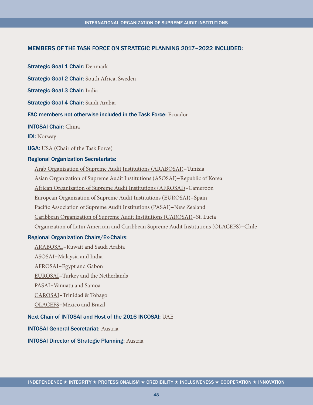### MEMBERS OF THE TASK FORCE ON STRATEGIC PLANNING 2017–2022 INCLUDED:

**Strategic Goal 1 Chair: Denmark** 

Strategic Goal 2 Chair: South Africa, Sweden

Strategic Goal 3 Chair: India

Strategic Goal 4 Chair: Saudi Arabia

FAC members not otherwise included in the Task Force: Ecuador

INTOSAI Chair: China

IDI: Norway

IJGA: USA (Chair of the Task Force)

#### Regional Organization Secretariats:

Arab Organization of Supreme Audit Institutions (ARABOSAI)–Tunisia

Asian Organization of Supreme Audit Institutions (ASOSAI)–Republic of Korea

African Organization of Supreme Audit Institutions (AFROSAI)–Cameroon

European Organization of Supreme Audit Institutions (EUROSAI)–Spain

Pacific Association of Supreme Audit Institutions (PASAI)–New Zealand

Caribbean Organization of Supreme Audit Institutions (CAROSAI)–St. Lucia

Organization of Latin American and Caribbean Supreme Audit Institutions (OLACEFS)–Chile

#### Regional Organization Chairs/Ex-Chairs:

ARABOSAI–Kuwait and Saudi Arabia

ASOSAI–Malaysia and India

AFROSAI–Egypt and Gabon

EUROSAI–Turkey and the Netherlands

PASAI–Vanuatu and Samoa

CAROSAI–Trinidad & Tobago

OLACEFS–Mexico and Brazil

Next Chair of INTOSAI and Host of the 2016 INCOSAI: UAE

#### INTOSAI General Secretariat: Austria

#### INTOSAI Director of Strategic Planning: Austria